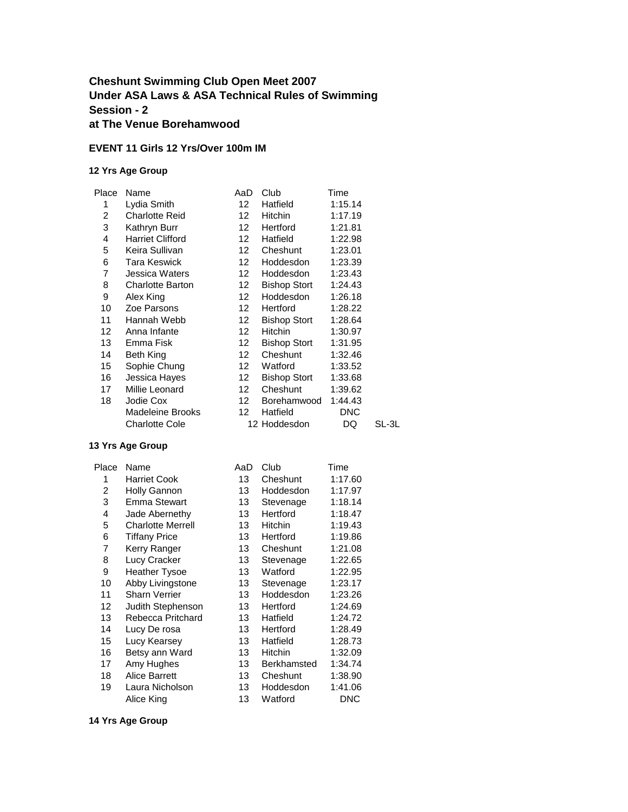### **Cheshunt Swimming Club Open Meet 2007 Under ASA Laws & ASA Technical Rules of Swimming Session - 2 at The Venue Borehamwood**

#### **EVENT 11 Girls 12 Yrs/Over 100m IM**

#### **12 Yrs Age Group**

| Place | Name                    | AaD              | Club                | Time       |       |
|-------|-------------------------|------------------|---------------------|------------|-------|
| 1     | Lydia Smith             | 12 <sup>2</sup>  | Hatfield            | 1:15.14    |       |
| 2     | <b>Charlotte Reid</b>   | 12               | Hitchin             | 1:17.19    |       |
| 3     | Kathryn Burr            | 12 <sup>12</sup> | Hertford            | 1:21.81    |       |
| 4     | <b>Harriet Clifford</b> | 12 <sup>12</sup> | Hatfield            | 1:22.98    |       |
| 5     | Keira Sullivan          | 12 <sup>12</sup> | Cheshunt            | 1:23.01    |       |
| 6     | <b>Tara Keswick</b>     | 12               | Hoddesdon           | 1:23.39    |       |
| 7     | Jessica Waters          | 12               | Hoddesdon           | 1:23.43    |       |
| 8     | <b>Charlotte Barton</b> | 12               | <b>Bishop Stort</b> | 1:24.43    |       |
| 9     | Alex King               | 12               | Hoddesdon           | 1:26.18    |       |
| 10    | Zoe Parsons             | 12 <sup>12</sup> | Hertford            | 1:28.22    |       |
| 11    | Hannah Webb             | 12               | <b>Bishop Stort</b> | 1:28.64    |       |
| 12    | Anna Infante            | 12               | Hitchin             | 1:30.97    |       |
| 13    | Emma Fisk               | 12               | <b>Bishop Stort</b> | 1:31.95    |       |
| 14    | Beth King               | 12               | Cheshunt            | 1:32.46    |       |
| 15    | Sophie Chung            | 12               | Watford             | 1:33.52    |       |
| 16    | Jessica Hayes           | 12               | Bishop Stort        | 1:33.68    |       |
| 17    | Millie Leonard          | 12 <sup>12</sup> | Cheshunt            | 1:39.62    |       |
| 18    | Jodie Cox               | 12 <sup>12</sup> | Borehamwood         | 1:44.43    |       |
|       | Madeleine Brooks        | 12 <sup>12</sup> | Hatfield            | <b>DNC</b> |       |
|       | <b>Charlotte Cole</b>   |                  | 12 Hoddesdon        | DQ         | SL-3L |

#### **13 Yrs Age Group**

| Name                     | AaD | Club               | Time       |
|--------------------------|-----|--------------------|------------|
| <b>Harriet Cook</b>      | 13  | Cheshunt           | 1:17.60    |
| <b>Holly Gannon</b>      | 13  | Hoddesdon          | 1:17.97    |
| Emma Stewart             | 13  | Stevenage          | 1:18.14    |
| Jade Abernethy           | 13  | Hertford           | 1:18.47    |
| <b>Charlotte Merrell</b> | 13  | Hitchin            | 1:19.43    |
| <b>Tiffany Price</b>     | 13  | Hertford           | 1:19.86    |
| Kerry Ranger             | 13  | Cheshunt           | 1:21.08    |
| Lucy Cracker             | 13  | Stevenage          | 1:22.65    |
| <b>Heather Tysoe</b>     | 13  | Watford            | 1:22.95    |
| Abby Livingstone         | 13  | Stevenage          | 1:23.17    |
| <b>Sharn Verrier</b>     | 13  | Hoddesdon          | 1:23.26    |
| Judith Stephenson        | 13  | Hertford           | 1:24.69    |
| Rebecca Pritchard        | 13  | Hatfield           | 1:24.72    |
| Lucy De rosa             | 13  | Hertford           | 1:28.49    |
| Lucy Kearsey             | 13  | Hatfield           | 1:28.73    |
| Betsy ann Ward           | 13  | <b>Hitchin</b>     | 1:32.09    |
| Amy Hughes               | 13  | <b>Berkhamsted</b> | 1:34.74    |
| <b>Alice Barrett</b>     | 13  | Cheshunt           | 1:38.90    |
| Laura Nicholson          | 13  | Hoddesdon          | 1:41.06    |
| Alice King               | 13  | Watford            | <b>DNC</b> |
|                          |     |                    |            |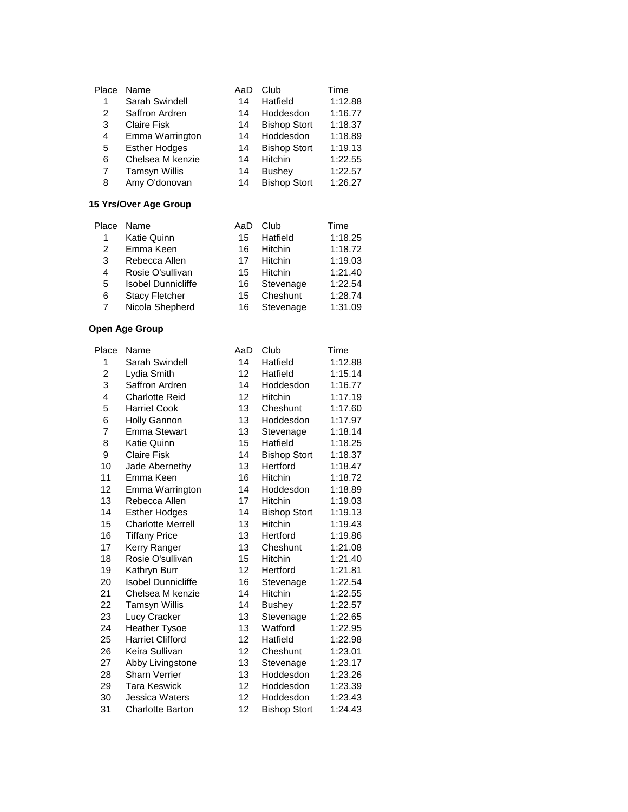| Place | Name                 | AaD | Club                | Time    |
|-------|----------------------|-----|---------------------|---------|
| 1     | Sarah Swindell       | 14  | Hatfield            | 1:12.88 |
| 2     | Saffron Ardren       | 14  | Hoddesdon           | 1:16.77 |
| 3     | <b>Claire Fisk</b>   | 14  | <b>Bishop Stort</b> | 1:18.37 |
| 4     | Emma Warrington      | 14  | Hoddesdon           | 1:18.89 |
| 5     | <b>Esther Hodges</b> | 14  | <b>Bishop Stort</b> | 1:19.13 |
| 6     | Chelsea M kenzie     | 14  | <b>Hitchin</b>      | 1:22.55 |
| 7     | <b>Tamsyn Willis</b> | 14  | <b>Bushey</b>       | 1:22.57 |
| 8     | Amy O'donovan        | 14  | <b>Bishop Stort</b> | 1:26.27 |

#### **15 Yrs/Over Age Group**

| Place | Name                      | AaD | Club           | Time    |
|-------|---------------------------|-----|----------------|---------|
|       | Katie Quinn               | 15  | Hatfield       | 1:18.25 |
| 2     | Emma Keen                 | 16  | Hitchin        | 1:18.72 |
| 3     | Rebecca Allen             | 17  | <b>Hitchin</b> | 1:19.03 |
| 4     | Rosie O'sullivan          | 15. | Hitchin        | 1:21.40 |
| 5     | <b>Isobel Dunnicliffe</b> | 16  | Stevenage      | 1:22.54 |
| 6     | <b>Stacy Fletcher</b>     | 15. | Cheshunt       | 1:28.74 |
| 7     | Nicola Shepherd           | 16  | Stevenage      | 1:31.09 |

| Place          | Name                      | AaD              | Club                | Time    |
|----------------|---------------------------|------------------|---------------------|---------|
| 1              | Sarah Swindell            | 14               | Hatfield            | 1:12.88 |
| $\overline{c}$ | Lydia Smith               | 12 <sup>12</sup> | Hatfield            | 1:15.14 |
| 3              | Saffron Ardren            | 14               | Hoddesdon           | 1:16.77 |
| 4              | <b>Charlotte Reid</b>     | 12               | Hitchin             | 1:17.19 |
| 5              | <b>Harriet Cook</b>       | 13               | Cheshunt            | 1:17.60 |
| 6              | <b>Holly Gannon</b>       | 13               | Hoddesdon           | 1:17.97 |
| 7              | <b>Emma Stewart</b>       | 13               | Stevenage           | 1:18.14 |
| 8              | Katie Quinn               | 15               | Hatfield            | 1:18.25 |
| 9              | <b>Claire Fisk</b>        | 14               | <b>Bishop Stort</b> | 1:18.37 |
| 10             | Jade Abernethy            | 13               | Hertford            | 1:18.47 |
| 11             | Emma Keen                 | 16               | <b>Hitchin</b>      | 1:18.72 |
| 12             | Emma Warrington           | 14               | Hoddesdon           | 1:18.89 |
| 13             | Rebecca Allen             | 17               | Hitchin             | 1:19.03 |
| 14             | <b>Esther Hodges</b>      | 14               | <b>Bishop Stort</b> | 1:19.13 |
| 15             | <b>Charlotte Merrell</b>  | 13               | Hitchin             | 1:19.43 |
| 16             | <b>Tiffany Price</b>      | 13               | Hertford            | 1:19.86 |
| 17             | Kerry Ranger              | 13               | Cheshunt            | 1:21.08 |
| 18             | Rosie O'sullivan          | 15               | Hitchin             | 1:21.40 |
| 19             | Kathryn Burr              | 12               | Hertford            | 1:21.81 |
| 20             | <b>Isobel Dunnicliffe</b> | 16               | Stevenage           | 1:22.54 |
| 21             | Chelsea M kenzie          | 14               | Hitchin             | 1:22.55 |
| 22             | <b>Tamsyn Willis</b>      | 14               | <b>Bushey</b>       | 1:22.57 |
| 23             | Lucy Cracker              | 13               | Stevenage           | 1:22.65 |
| 24             | <b>Heather Tysoe</b>      | 13               | Watford             | 1:22.95 |
| 25             | <b>Harriet Clifford</b>   | 12               | Hatfield            | 1:22.98 |
| 26             | Keira Sullivan            | 12               | Cheshunt            | 1:23.01 |
| 27             | Abby Livingstone          | 13               | Stevenage           | 1:23.17 |
| 28             | <b>Sharn Verrier</b>      | 13               | Hoddesdon           | 1:23.26 |
| 29             | Tara Keswick              | 12               | Hoddesdon           | 1:23.39 |
| 30             | Jessica Waters            | 12               | Hoddesdon           | 1:23.43 |
| 31             | <b>Charlotte Barton</b>   | 12               | <b>Bishop Stort</b> | 1:24.43 |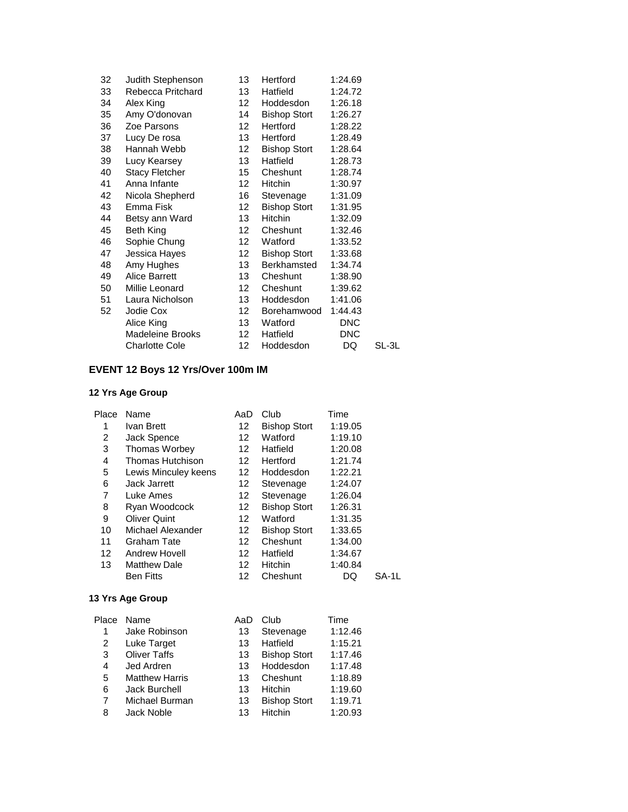| 32 | Judith Stephenson     | 13               | Hertford            | 1:24.69    |       |
|----|-----------------------|------------------|---------------------|------------|-------|
| 33 | Rebecca Pritchard     | 13               | Hatfield            | 1:24.72    |       |
| 34 | Alex King             | 12 <sup>12</sup> | Hoddesdon           | 1:26.18    |       |
| 35 | Amy O'donovan         | 14               | Bishop Stort        | 1:26.27    |       |
| 36 | Zoe Parsons           | 12 <sup>12</sup> | Hertford            | 1:28.22    |       |
| 37 | Lucy De rosa          | 13               | Hertford            | 1:28.49    |       |
| 38 | Hannah Webb           | 12 <sup>2</sup>  | <b>Bishop Stort</b> | 1:28.64    |       |
| 39 | Lucy Kearsey          | 13               | Hatfield            | 1:28.73    |       |
| 40 | <b>Stacy Fletcher</b> | 15               | Cheshunt            | 1:28.74    |       |
| 41 | Anna Infante          | 12 <sup>12</sup> | Hitchin             | 1:30.97    |       |
| 42 | Nicola Shepherd       | 16               | Stevenage           | 1:31.09    |       |
| 43 | Emma Fisk             | 12               | <b>Bishop Stort</b> | 1:31.95    |       |
| 44 | Betsy ann Ward        | 13               | Hitchin             | 1:32.09    |       |
| 45 | Beth King             | 12               | Cheshunt            | 1:32.46    |       |
| 46 | Sophie Chung          | 12               | Watford             | 1:33.52    |       |
| 47 | Jessica Hayes         | 12               | Bishop Stort        | 1:33.68    |       |
| 48 | Amy Hughes            | 13               | Berkhamsted         | 1:34.74    |       |
| 49 | Alice Barrett         | 13               | Cheshunt            | 1:38.90    |       |
| 50 | Millie Leonard        | 12 <sup>12</sup> | Cheshunt            | 1:39.62    |       |
| 51 | Laura Nicholson       | 13               | Hoddesdon           | 1:41.06    |       |
| 52 | Jodie Cox             | 12 <sup>°</sup>  | Borehamwood         | 1:44.43    |       |
|    | Alice King            | 13               | Watford             | <b>DNC</b> |       |
|    | Madeleine Brooks      | 12               | Hatfield            | <b>DNC</b> |       |
|    | <b>Charlotte Cole</b> | 12               | Hoddesdon           | DQ         | SL-3L |

# **EVENT 12 Boys 12 Yrs/Over 100m IM**

# **12 Yrs Age Group**

| Place | Name                 | AaD | Club                | Time    |       |
|-------|----------------------|-----|---------------------|---------|-------|
| 1     | Ivan Brett           | 12  | <b>Bishop Stort</b> | 1:19.05 |       |
| 2     | Jack Spence          | 12  | Watford             | 1:19.10 |       |
| 3     | <b>Thomas Worbey</b> | 12  | Hatfield            | 1:20.08 |       |
| 4     | Thomas Hutchison     | 12  | Hertford            | 1:21.74 |       |
| 5     | Lewis Minculey keens | 12  | Hoddesdon           | 1:22.21 |       |
| 6     | Jack Jarrett         | 12  | Stevenage           | 1:24.07 |       |
| 7     | Luke Ames            | 12  | Stevenage           | 1:26.04 |       |
| 8     | Ryan Woodcock        | 12  | <b>Bishop Stort</b> | 1:26.31 |       |
| 9     | <b>Oliver Quint</b>  | 12  | Watford             | 1:31.35 |       |
| 10    | Michael Alexander    | 12  | <b>Bishop Stort</b> | 1:33.65 |       |
| 11    | <b>Graham Tate</b>   | 12  | Cheshunt            | 1:34.00 |       |
| 12    | Andrew Hovell        | 12  | Hatfield            | 1:34.67 |       |
| 13    | <b>Matthew Dale</b>  | 12  | <b>Hitchin</b>      | 1:40.84 |       |
|       | <b>Ben Fitts</b>     | 12  | Cheshunt            | DQ      | SA-1L |

| Place | Name                  | AaD | Club                | Time    |
|-------|-----------------------|-----|---------------------|---------|
| 1     | Jake Robinson         | 13  | Stevenage           | 1:12.46 |
| 2     | Luke Target           | 13  | Hatfield            | 1:15.21 |
| 3     | <b>Oliver Taffs</b>   | 13  | <b>Bishop Stort</b> | 1:17.46 |
| 4     | Jed Ardren            | 13  | Hoddesdon           | 1:17.48 |
| 5     | <b>Matthew Harris</b> | 13  | Cheshunt            | 1:18.89 |
| 6     | Jack Burchell         | 13  | <b>Hitchin</b>      | 1:19.60 |
| 7     | Michael Burman        | 13  | <b>Bishop Stort</b> | 1:19.71 |
| 8     | Jack Noble            | 13  | Hitchin             | 1:20.93 |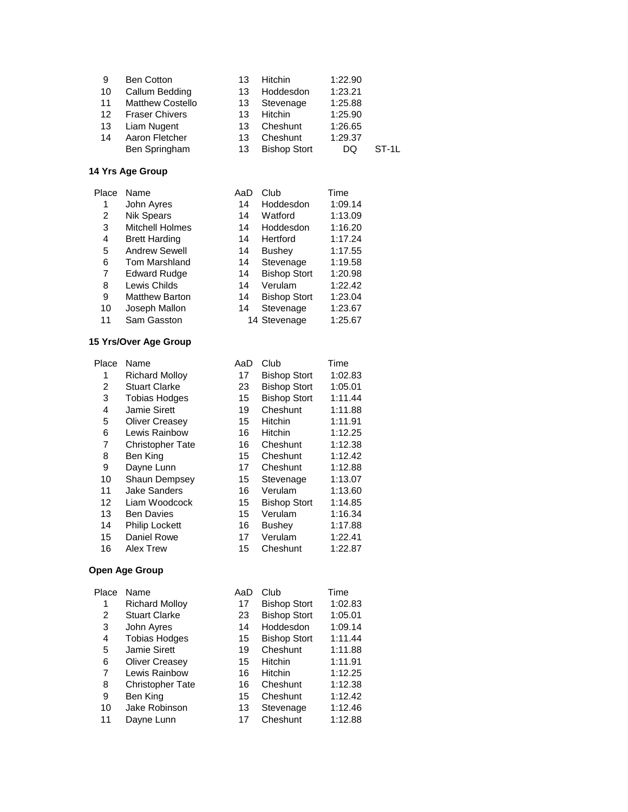| 9  | <b>Ben Cotton</b>       | 13 | <b>Hitchin</b>      | 1:22.90 |       |
|----|-------------------------|----|---------------------|---------|-------|
| 10 | Callum Bedding          | 13 | Hoddesdon           | 1:23.21 |       |
| 11 | <b>Matthew Costello</b> | 13 | Stevenage           | 1:25.88 |       |
| 12 | <b>Fraser Chivers</b>   | 13 | Hitchin             | 1:25.90 |       |
| 13 | Liam Nugent             | 13 | Cheshunt            | 1:26.65 |       |
| 14 | Aaron Fletcher          | 13 | Cheshunt            | 1:29.37 |       |
|    | Ben Springham           | 13 | <b>Bishop Stort</b> | DQ      | ST-1L |

| Place | Name                   | AaD | Club                | Time    |
|-------|------------------------|-----|---------------------|---------|
| 1     | John Ayres             | 14  | Hoddesdon           | 1:09.14 |
| 2     | <b>Nik Spears</b>      | 14  | Watford             | 1:13.09 |
| 3     | <b>Mitchell Holmes</b> | 14  | Hoddesdon           | 1:16.20 |
| 4     | <b>Brett Harding</b>   | 14  | Hertford            | 1:17.24 |
| 5     | <b>Andrew Sewell</b>   | 14  | <b>Bushey</b>       | 1:17.55 |
| 6     | Tom Marshland          | 14  | Stevenage           | 1:19.58 |
| 7     | <b>Edward Rudge</b>    | 14  | <b>Bishop Stort</b> | 1:20.98 |
| 8     | Lewis Childs           | 14  | Verulam             | 1:22.42 |
| 9     | <b>Matthew Barton</b>  | 14  | <b>Bishop Stort</b> | 1:23.04 |
| 10    | Joseph Mallon          | 14  | Stevenage           | 1:23.67 |
| 11    | Sam Gasston            |     | 14 Stevenage        | 1:25.67 |
|       |                        |     |                     |         |

# **15 Yrs/Over Age Group**

| Place | Name                    | AaD | Club                | Time    |
|-------|-------------------------|-----|---------------------|---------|
| 1     | <b>Richard Mollov</b>   | 17  | <b>Bishop Stort</b> | 1:02.83 |
| 2     | <b>Stuart Clarke</b>    | 23  | <b>Bishop Stort</b> | 1:05.01 |
| 3     | <b>Tobias Hodges</b>    | 15  | <b>Bishop Stort</b> | 1:11.44 |
| 4     | Jamie Sirett            | 19  | Cheshunt            | 1:11.88 |
| 5     | <b>Oliver Creasev</b>   | 15  | Hitchin             | 1:11.91 |
| 6     | Lewis Rainbow           | 16  | <b>Hitchin</b>      | 1:12.25 |
| 7     | <b>Christopher Tate</b> | 16  | Cheshunt            | 1:12.38 |
| 8     | Ben King                | 15  | Cheshunt            | 1:12.42 |
| 9     | Dayne Lunn              | 17  | Cheshunt            | 1:12.88 |
| 10    | <b>Shaun Dempsey</b>    | 15  | Stevenage           | 1:13.07 |
| 11    | <b>Jake Sanders</b>     | 16  | Verulam             | 1:13.60 |
| 12    | Liam Woodcock           | 15  | <b>Bishop Stort</b> | 1:14.85 |
| 13    | <b>Ben Davies</b>       | 15  | Verulam             | 1:16.34 |
| 14    | <b>Philip Lockett</b>   | 16  | <b>Bushey</b>       | 1:17.88 |
| 15    | Daniel Rowe             | 17  | Verulam             | 1:22.41 |
| 16    | <b>Alex Trew</b>        | 15  | Cheshunt            | 1:22.87 |
|       |                         |     |                     |         |

| Name                    | AaD | Club                | Time    |
|-------------------------|-----|---------------------|---------|
| <b>Richard Molloy</b>   | 17  | <b>Bishop Stort</b> | 1:02.83 |
| <b>Stuart Clarke</b>    | 23  | <b>Bishop Stort</b> | 1:05.01 |
| John Ayres              | 14  | Hoddesdon           | 1:09.14 |
| <b>Tobias Hodges</b>    | 15  | <b>Bishop Stort</b> | 1:11.44 |
| <b>Jamie Sirett</b>     | 19  | Cheshunt            | 1:11.88 |
| <b>Oliver Creasev</b>   | 15  | Hitchin             | 1:11.91 |
| Lewis Rainbow           | 16  | Hitchin             | 1:12.25 |
| <b>Christopher Tate</b> | 16  | Cheshunt            | 1:12.38 |
| Ben King                | 15  | Cheshunt            | 1:12.42 |
| Jake Robinson           | 13  | Stevenage           | 1:12.46 |
| Dayne Lunn              | 17  | Cheshunt            | 1:12.88 |
|                         |     |                     |         |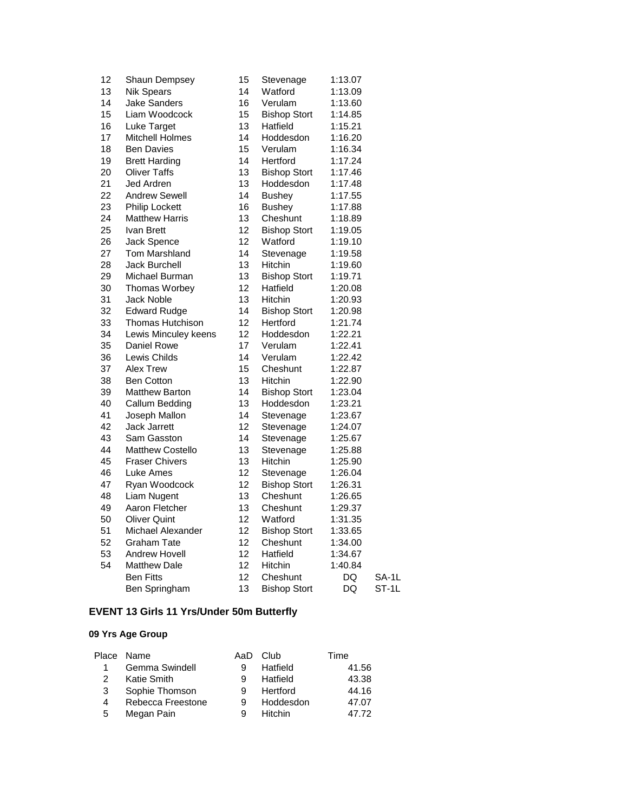| 12 | Shaun Dempsey           | 15 | Stevenage           | 1:13.07 |       |
|----|-------------------------|----|---------------------|---------|-------|
| 13 | <b>Nik Spears</b>       | 14 | Watford             | 1:13.09 |       |
| 14 | Jake Sanders            | 16 | Verulam             | 1:13.60 |       |
| 15 | Liam Woodcock           | 15 | <b>Bishop Stort</b> | 1:14.85 |       |
| 16 | Luke Target             | 13 | Hatfield            | 1:15.21 |       |
| 17 | <b>Mitchell Holmes</b>  | 14 | Hoddesdon           | 1:16.20 |       |
| 18 | <b>Ben Davies</b>       | 15 | Verulam             | 1:16.34 |       |
| 19 | <b>Brett Harding</b>    | 14 | Hertford            | 1:17.24 |       |
| 20 | <b>Oliver Taffs</b>     | 13 | <b>Bishop Stort</b> | 1:17.46 |       |
| 21 | Jed Ardren              | 13 | Hoddesdon           | 1:17.48 |       |
| 22 | <b>Andrew Sewell</b>    | 14 | <b>Bushey</b>       | 1:17.55 |       |
| 23 | <b>Philip Lockett</b>   | 16 | <b>Bushey</b>       | 1:17.88 |       |
| 24 | <b>Matthew Harris</b>   | 13 | Cheshunt            | 1:18.89 |       |
| 25 | Ivan Brett              | 12 | <b>Bishop Stort</b> | 1:19.05 |       |
| 26 | Jack Spence             | 12 | Watford             | 1:19.10 |       |
| 27 | <b>Tom Marshland</b>    | 14 | Stevenage           | 1:19.58 |       |
| 28 | <b>Jack Burchell</b>    | 13 | Hitchin             | 1:19.60 |       |
| 29 | Michael Burman          | 13 | <b>Bishop Stort</b> | 1:19.71 |       |
| 30 | <b>Thomas Worbey</b>    | 12 | Hatfield            | 1:20.08 |       |
| 31 | <b>Jack Noble</b>       | 13 | <b>Hitchin</b>      | 1:20.93 |       |
| 32 | <b>Edward Rudge</b>     | 14 | <b>Bishop Stort</b> | 1:20.98 |       |
| 33 | <b>Thomas Hutchison</b> | 12 | Hertford            | 1:21.74 |       |
| 34 | Lewis Minculey keens    | 12 | Hoddesdon           | 1:22.21 |       |
| 35 | Daniel Rowe             | 17 | Verulam             | 1:22.41 |       |
| 36 | Lewis Childs            | 14 | Verulam             | 1:22.42 |       |
| 37 | <b>Alex Trew</b>        | 15 | Cheshunt            | 1:22.87 |       |
| 38 | <b>Ben Cotton</b>       | 13 | <b>Hitchin</b>      | 1:22.90 |       |
| 39 | <b>Matthew Barton</b>   | 14 | <b>Bishop Stort</b> | 1:23.04 |       |
| 40 | Callum Bedding          | 13 | Hoddesdon           | 1:23.21 |       |
| 41 | Joseph Mallon           | 14 | Stevenage           | 1:23.67 |       |
| 42 | <b>Jack Jarrett</b>     | 12 | Stevenage           | 1:24.07 |       |
| 43 | Sam Gasston             | 14 | Stevenage           | 1:25.67 |       |
| 44 | <b>Matthew Costello</b> | 13 | Stevenage           | 1:25.88 |       |
| 45 | <b>Fraser Chivers</b>   | 13 | <b>Hitchin</b>      | 1:25.90 |       |
| 46 | Luke Ames               | 12 | Stevenage           | 1:26.04 |       |
| 47 | Ryan Woodcock           | 12 | <b>Bishop Stort</b> | 1:26.31 |       |
| 48 | Liam Nugent             | 13 | Cheshunt            | 1:26.65 |       |
| 49 | Aaron Fletcher          | 13 | Cheshunt            | 1:29.37 |       |
| 50 | <b>Oliver Quint</b>     | 12 | Watford             | 1:31.35 |       |
| 51 | Michael Alexander       | 12 | <b>Bishop Stort</b> | 1:33.65 |       |
| 52 | Graham Tate             | 12 | Cheshunt            | 1:34.00 |       |
| 53 | Andrew Hovell           | 12 | Hatfield            | 1:34.67 |       |
| 54 | <b>Matthew Dale</b>     | 12 | <b>Hitchin</b>      | 1:40.84 |       |
|    | <b>Ben Fitts</b>        | 12 | Cheshunt            | DQ      | SA-1L |
|    | Ben Springham           | 13 | <b>Bishop Stort</b> | DQ      | ST-1L |

# **EVENT 13 Girls 11 Yrs/Under 50m Butterfly**

|   | Place Name        | AaD | Club           | Time  |
|---|-------------------|-----|----------------|-------|
| 1 | Gemma Swindell    | я   | Hatfield       | 41.56 |
| 2 | Katie Smith       | 9   | Hatfield       | 43.38 |
| 3 | Sophie Thomson    | 9   | Hertford       | 44.16 |
| 4 | Rebecca Freestone | 9   | Hoddesdon      | 47.07 |
| 5 | Megan Pain        | 9   | <b>Hitchin</b> | 47.72 |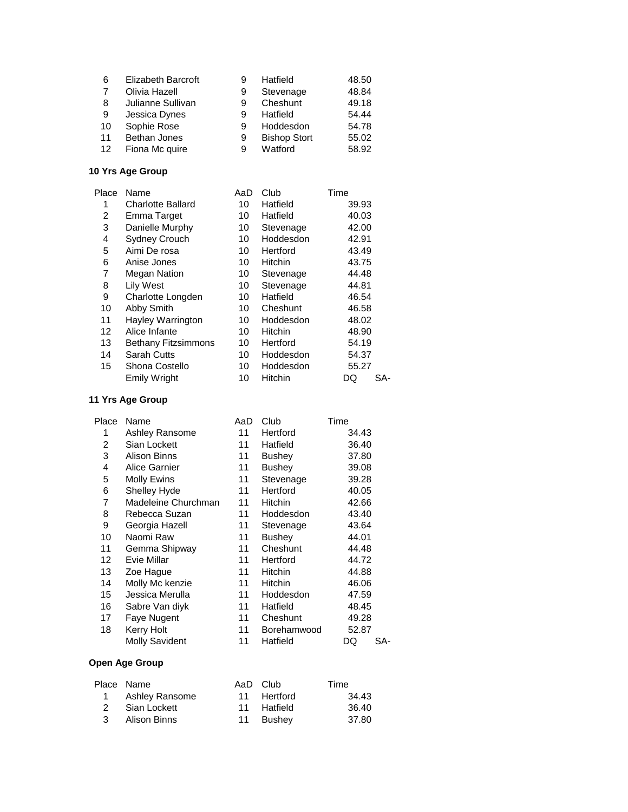| 6                 | <b>Elizabeth Barcroft</b> |   | Hatfield            | 48.50 |
|-------------------|---------------------------|---|---------------------|-------|
| 7                 | Olivia Hazell             | 9 | Stevenage           | 48.84 |
| 8                 | Julianne Sullivan         | 9 | Cheshunt            | 49.18 |
| 9                 | Jessica Dynes             | 9 | Hatfield            | 54.44 |
| 10                | Sophie Rose               | 9 | Hoddesdon           | 54.78 |
| 11                | <b>Bethan Jones</b>       | 9 | <b>Bishop Stort</b> | 55.02 |
| $12 \overline{ }$ | Fiona Mc quire            | 9 | Watford             | 58.92 |

| Place | Name                       | AaD | Club           | Time      |
|-------|----------------------------|-----|----------------|-----------|
| 1     | <b>Charlotte Ballard</b>   | 10  | Hatfield       | 39.93     |
| 2     | Emma Target                | 10  | Hatfield       | 40.03     |
| 3     | Danielle Murphy            | 10  | Stevenage      | 42.00     |
| 4     | <b>Sydney Crouch</b>       | 10  | Hoddesdon      | 42.91     |
| 5     | Aimi De rosa               | 10  | Hertford       | 43.49     |
| 6     | Anise Jones                | 10  | <b>Hitchin</b> | 43.75     |
| 7     | <b>Megan Nation</b>        | 10  | Stevenage      | 44.48     |
| 8     | <b>Lily West</b>           | 10  | Stevenage      | 44.81     |
| 9     | Charlotte Longden          | 10  | Hatfield       | 46.54     |
| 10    | Abby Smith                 | 10  | Cheshunt       | 46.58     |
| 11    | Hayley Warrington          | 10  | Hoddesdon      | 48.02     |
| 12    | Alice Infante              | 10  | <b>Hitchin</b> | 48.90     |
| 13    | <b>Bethany Fitzsimmons</b> | 10  | Hertford       | 54.19     |
| 14    | <b>Sarah Cutts</b>         | 10  | Hoddesdon      | 54.37     |
| 15    | Shona Costello             | 10  | Hoddesdon      | 55.27     |
|       | <b>Emily Wright</b>        | 10  | <b>Hitchin</b> | SA-<br>DQ |

### **11 Yrs Age Group**

| Place | Name                  | AaD | Club           | Time      |
|-------|-----------------------|-----|----------------|-----------|
| 1     | Ashley Ransome        | 11  | Hertford       | 34.43     |
| 2     | Sian Lockett          | 11  | Hatfield       | 36.40     |
| 3     | Alison Binns          | 11  | Bushey         | 37.80     |
| 4     | Alice Garnier         | 11  | <b>Bushey</b>  | 39.08     |
| 5     | Molly Ewins           | 11  | Stevenage      | 39.28     |
| 6     | Shelley Hyde          | 11  | Hertford       | 40.05     |
| 7     | Madeleine Churchman   | 11  | Hitchin        | 42.66     |
| 8     | Rebecca Suzan         | 11  | Hoddesdon      | 43.40     |
| 9     | Georgia Hazell        | 11  | Stevenage      | 43.64     |
| 10    | Naomi Raw             | 11  | Bushey         | 44.01     |
| 11    | Gemma Shipway         | 11  | Cheshunt       | 44.48     |
| 12    | Evie Millar           | 11  | Hertford       | 44.72     |
| 13    | Zoe Hague             | 11  | <b>Hitchin</b> | 44.88     |
| 14    | Molly Mc kenzie       | 11  | Hitchin        | 46.06     |
| 15    | Jessica Merulla       | 11  | Hoddesdon      | 47.59     |
| 16    | Sabre Van diyk        | 11  | Hatfield       | 48.45     |
| 17    | Faye Nugent           | 11  | Cheshunt       | 49.28     |
| 18    | Kerry Holt            | 11  | Borehamwood    | 52.87     |
|       | <b>Molly Savident</b> | 11  | Hatfield       | SA-<br>DQ |
|       |                       |     |                |           |

| Place Name       | AaD Club    | Time  |
|------------------|-------------|-------|
| 1 Ashley Ransome | 11 Hertford | 34.43 |
| 2 Sian Lockett   | 11 Hatfield | 36.40 |
| 3 Alison Binns   | 11 Bushev   | 37.80 |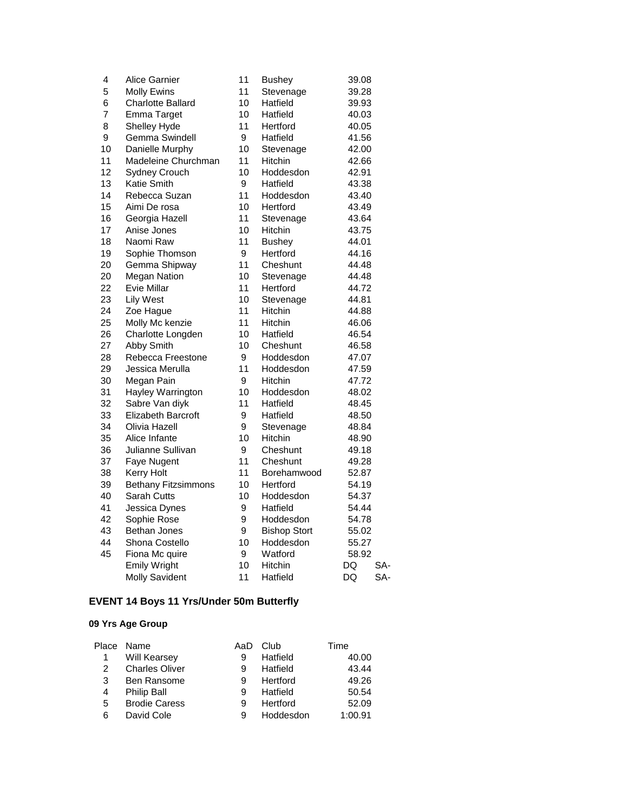| 4  | Alice Garnier              | 11 | <b>Bushey</b>       | 39.08     |
|----|----------------------------|----|---------------------|-----------|
| 5  | <b>Molly Ewins</b>         | 11 | Stevenage           | 39.28     |
| 6  | <b>Charlotte Ballard</b>   | 10 | Hatfield            | 39.93     |
| 7  | Emma Target                | 10 | Hatfield            | 40.03     |
| 8  | Shelley Hyde               | 11 | Hertford            | 40.05     |
| 9  | Gemma Swindell             | 9  | Hatfield            | 41.56     |
| 10 | Danielle Murphy            | 10 | Stevenage           | 42.00     |
| 11 | Madeleine Churchman        | 11 | Hitchin             | 42.66     |
| 12 | <b>Sydney Crouch</b>       | 10 | Hoddesdon           | 42.91     |
| 13 | Katie Smith                | 9  | Hatfield            | 43.38     |
| 14 | Rebecca Suzan              | 11 | Hoddesdon           | 43.40     |
| 15 | Aimi De rosa               | 10 | Hertford            | 43.49     |
| 16 | Georgia Hazell             | 11 | Stevenage           | 43.64     |
| 17 | Anise Jones                | 10 | Hitchin             | 43.75     |
| 18 | Naomi Raw                  | 11 | <b>Bushey</b>       | 44.01     |
| 19 | Sophie Thomson             | 9  | Hertford            | 44.16     |
| 20 | Gemma Shipway              | 11 | Cheshunt            | 44.48     |
| 20 | <b>Megan Nation</b>        | 10 | Stevenage           | 44.48     |
| 22 | <b>Evie Millar</b>         | 11 | Hertford            | 44.72     |
| 23 | <b>Lily West</b>           | 10 | Stevenage           | 44.81     |
| 24 | Zoe Hague                  | 11 | Hitchin             | 44.88     |
| 25 | Molly Mc kenzie            | 11 | Hitchin             | 46.06     |
| 26 | Charlotte Longden          | 10 | Hatfield            | 46.54     |
| 27 | Abby Smith                 | 10 | Cheshunt            | 46.58     |
| 28 | Rebecca Freestone          | 9  | Hoddesdon           | 47.07     |
| 29 | Jessica Merulla            | 11 | Hoddesdon           | 47.59     |
| 30 | Megan Pain                 | 9  | <b>Hitchin</b>      | 47.72     |
| 31 | Hayley Warrington          | 10 | Hoddesdon           | 48.02     |
| 32 | Sabre Van diyk             | 11 | Hatfield            | 48.45     |
| 33 | <b>Elizabeth Barcroft</b>  | 9  | Hatfield            | 48.50     |
| 34 | Olivia Hazell              | 9  | Stevenage           | 48.84     |
| 35 | Alice Infante              | 10 | Hitchin             | 48.90     |
| 36 | Julianne Sullivan          | 9  | Cheshunt            | 49.18     |
| 37 | Faye Nugent                | 11 | Cheshunt            | 49.28     |
| 38 | <b>Kerry Holt</b>          | 11 | Borehamwood         | 52.87     |
| 39 | <b>Bethany Fitzsimmons</b> | 10 | Hertford            | 54.19     |
| 40 | Sarah Cutts                | 10 | Hoddesdon           | 54.37     |
| 41 | Jessica Dynes              | 9  | Hatfield            | 54.44     |
| 42 | Sophie Rose                | 9  | Hoddesdon           | 54.78     |
| 43 | Bethan Jones               | 9  | <b>Bishop Stort</b> | 55.02     |
| 44 | Shona Costello             | 10 | Hoddesdon           | 55.27     |
| 45 | Fiona Mc quire             | 9  | Watford             | 58.92     |
|    | <b>Emily Wright</b>        | 10 | Hitchin             | DQ<br>SA- |
|    | <b>Molly Savident</b>      | 11 | Hatfield            | DQ<br>SA- |

# **EVENT 14 Boys 11 Yrs/Under 50m Butterfly**

|    | Place Name            | AaD | Club      | Time    |
|----|-----------------------|-----|-----------|---------|
| -1 | <b>Will Kearsey</b>   | 9   | Hatfield  | 40.00   |
| 2  | <b>Charles Oliver</b> | 9   | Hatfield  | 43.44   |
| 3  | <b>Ben Ransome</b>    | 9   | Hertford  | 49.26   |
| 4  | <b>Philip Ball</b>    | 9   | Hatfield  | 50.54   |
| 5  | <b>Brodie Caress</b>  | 9   | Hertford  | 52.09   |
| 6  | David Cole            | 9   | Hoddesdon | 1:00.91 |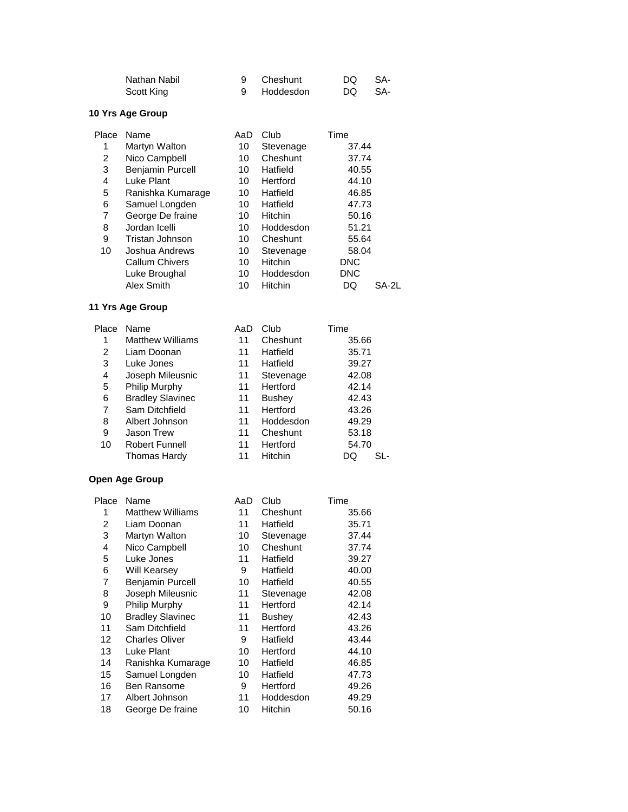| Nathan Nabil | 9 Cheshunt  | DQ SA- |  |
|--------------|-------------|--------|--|
| Scott King   | 9 Hoddesdon | DO SA- |  |

| Place | Name                  | AaD | Club           | Time        |  |
|-------|-----------------------|-----|----------------|-------------|--|
| 1     | Martyn Walton         | 10  | Stevenage      | 37.44       |  |
| 2     | Nico Campbell         | 10  | Cheshunt       | 37.74       |  |
| 3     | Benjamin Purcell      | 10  | Hatfield       | 40.55       |  |
| 4     | Luke Plant            | 10  | Hertford       | 44.10       |  |
| 5     | Ranishka Kumarage     | 10  | Hatfield       | 46.85       |  |
| 6     | Samuel Longden        | 10  | Hatfield       | 47.73       |  |
| 7     | George De fraine      | 10  | <b>Hitchin</b> | 50.16       |  |
| 8     | Jordan Icelli         | 10  | Hoddesdon      | 51.21       |  |
| 9     | Tristan Johnson       | 10  | Cheshunt       | 55.64       |  |
| 10    | Joshua Andrews        | 10  | Stevenage      | 58.04       |  |
|       | <b>Callum Chivers</b> | 10  | Hitchin        | <b>DNC</b>  |  |
|       | Luke Broughal         | 10  | Hoddesdon      | <b>DNC</b>  |  |
|       | Alex Smith            | 10  | Hitchin        | DQ<br>SA-2L |  |

# **11 Yrs Age Group**

| Place | Name                    | AaD | Club           | Time      |
|-------|-------------------------|-----|----------------|-----------|
| 1     | <b>Matthew Williams</b> | 11  | Cheshunt       | 35.66     |
| 2     | Liam Doonan             | 11  | Hatfield       | 35.71     |
| 3     | Luke Jones              | 11  | Hatfield       | 39.27     |
| 4     | Joseph Mileusnic        | 11  | Stevenage      | 42.08     |
| 5     | Philip Murphy           | 11  | Hertford       | 42.14     |
| 6     | <b>Bradley Slavinec</b> | 11  | <b>Bushey</b>  | 42.43     |
| 7     | Sam Ditchfield          | 11  | Hertford       | 43.26     |
| 8     | Albert Johnson          | 11  | Hoddesdon      | 49.29     |
| 9     | <b>Jason Trew</b>       | 11  | Cheshunt       | 53.18     |
| 10    | <b>Robert Funnell</b>   | 11  | Hertford       | 54.70     |
|       | <b>Thomas Hardy</b>     | 11  | <b>Hitchin</b> | SL-<br>DQ |

| Place | Name                    | AaD | Club           | Time  |
|-------|-------------------------|-----|----------------|-------|
| 1     | <b>Matthew Williams</b> | 11  | Cheshunt       | 35.66 |
| 2     | Liam Doonan             | 11  | Hatfield       | 35.71 |
| 3     | Martyn Walton           | 10  | Stevenage      | 37.44 |
| 4     | Nico Campbell           | 10  | Cheshunt       | 37.74 |
| 5     | Luke Jones              | 11  | Hatfield       | 39.27 |
| 6     | Will Kearsey            | 9   | Hatfield       | 40.00 |
| 7     | <b>Benjamin Purcell</b> | 10  | Hatfield       | 40.55 |
| 8     | Joseph Mileusnic        | 11  | Stevenage      | 42.08 |
| 9     | Philip Murphy           | 11  | Hertford       | 42.14 |
| 10    | <b>Bradley Slavinec</b> | 11  | Bushey         | 42.43 |
| 11    | Sam Ditchfield          | 11  | Hertford       | 43.26 |
| 12    | <b>Charles Oliver</b>   | 9   | Hatfield       | 43.44 |
| 13    | Luke Plant              | 10  | Hertford       | 44.10 |
| 14    | Ranishka Kumarage       | 10  | Hatfield       | 46.85 |
| 15    | Samuel Longden          | 10  | Hatfield       | 47.73 |
| 16    | Ben Ransome             | 9   | Hertford       | 49.26 |
| 17    | Albert Johnson          | 11  | Hoddesdon      | 49.29 |
| 18    | George De fraine        | 10  | <b>Hitchin</b> | 50.16 |
|       |                         |     |                |       |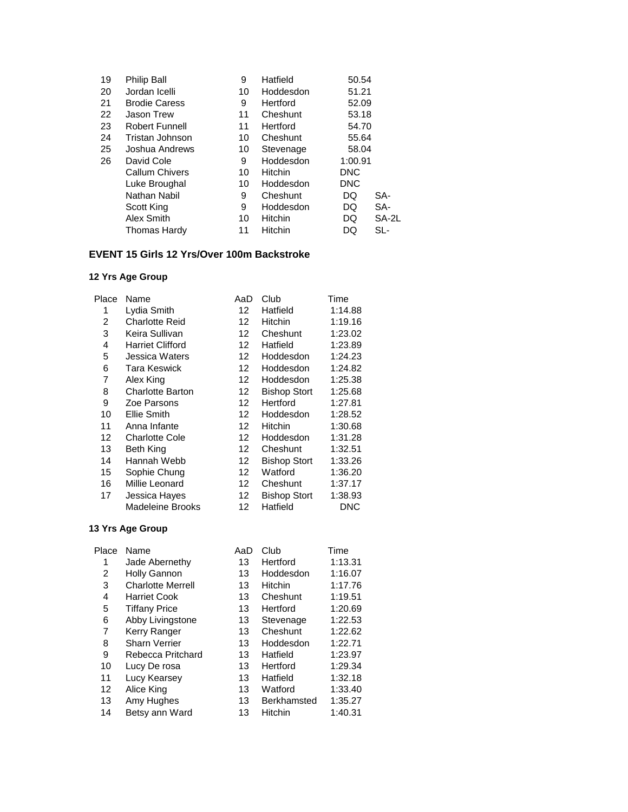| Philip Ball           | 9  | Hatfield       | 50.54      |       |
|-----------------------|----|----------------|------------|-------|
| Jordan Icelli         | 10 | Hoddesdon      | 51.21      |       |
| <b>Brodie Caress</b>  | 9  | Hertford       | 52.09      |       |
| <b>Jason Trew</b>     | 11 | Cheshunt       | 53.18      |       |
| <b>Robert Funnell</b> | 11 | Hertford       | 54.70      |       |
| Tristan Johnson       | 10 | Cheshunt       | 55.64      |       |
| Joshua Andrews        | 10 | Stevenage      | 58.04      |       |
| David Cole            | 9  | Hoddesdon      | 1:00.91    |       |
| <b>Callum Chivers</b> | 10 | Hitchin        | <b>DNC</b> |       |
| Luke Broughal         | 10 | Hoddesdon      | <b>DNC</b> |       |
| Nathan Nabil          | 9  | Cheshunt       | DQ         | SA-   |
| Scott King            | 9  | Hoddesdon      | DQ         | SA-   |
| Alex Smith            | 10 | <b>Hitchin</b> | DQ         | SA-2L |
| <b>Thomas Hardy</b>   | 11 | Hitchin        | DQ         | SL-   |
|                       |    |                |            |       |

#### **EVENT 15 Girls 12 Yrs/Over 100m Backstroke**

#### **12 Yrs Age Group**

| Place | Name                    | AaD | Club                | Time       |
|-------|-------------------------|-----|---------------------|------------|
| 1     | Lydia Smith             | 12  | Hatfield            | 1:14.88    |
| 2     | <b>Charlotte Reid</b>   | 12  | Hitchin             | 1:19.16    |
| 3     | Keira Sullivan          | 12  | Cheshunt            | 1:23.02    |
| 4     | <b>Harriet Clifford</b> | 12  | Hatfield            | 1:23.89    |
| 5     | Jessica Waters          | 12  | Hoddesdon           | 1:24.23    |
| 6     | Tara Keswick            | 12  | Hoddesdon           | 1:24.82    |
| 7     | Alex King               | 12  | Hoddesdon           | 1:25.38    |
| 8     | <b>Charlotte Barton</b> | 12  | <b>Bishop Stort</b> | 1:25.68    |
| 9     | Zoe Parsons             | 12  | Hertford            | 1:27.81    |
| 10    | Ellie Smith             | 12  | Hoddesdon           | 1:28.52    |
| 11    | Anna Infante            | 12  | Hitchin             | 1:30.68    |
| 12    | <b>Charlotte Cole</b>   | 12  | Hoddesdon           | 1:31.28    |
| 13    | Beth King               | 12  | Cheshunt            | 1:32.51    |
| 14    | Hannah Webb             | 12  | <b>Bishop Stort</b> | 1:33.26    |
| 15    | Sophie Chung            | 12  | Watford             | 1:36.20    |
| 16    | Millie Leonard          | 12  | Cheshunt            | 1:37.17    |
| 17    | Jessica Hayes           | 12  | <b>Bishop Stort</b> | 1:38.93    |
|       | Madeleine Brooks        | 12  | Hatfield            | <b>DNC</b> |
|       |                         |     |                     |            |

| Place | Name                     | AaD | Club               | Time    |
|-------|--------------------------|-----|--------------------|---------|
| 1     | Jade Abernethy           | 13  | Hertford           | 1:13.31 |
| 2     | Holly Gannon             | 13  | Hoddesdon          | 1:16.07 |
| 3     | <b>Charlotte Merrell</b> | 13  | <b>Hitchin</b>     | 1:17.76 |
| 4     | Harriet Cook             | 13  | Cheshunt           | 1:19.51 |
| 5     | <b>Tiffany Price</b>     | 13  | Hertford           | 1:20.69 |
| 6     | Abby Livingstone         | 13  | Stevenage          | 1:22.53 |
| 7     | Kerry Ranger             | 13  | Cheshunt           | 1:22.62 |
| 8     | <b>Sharn Verrier</b>     | 13  | Hoddesdon          | 1:22.71 |
| 9     | Rebecca Pritchard        | 13  | Hatfield           | 1:23.97 |
| 10    | Lucy De rosa             | 13  | Hertford           | 1:29.34 |
| 11    | Lucy Kearsey             | 13  | Hatfield           | 1:32.18 |
| 12    | Alice King               | 13  | Watford            | 1:33.40 |
| 13    | Amy Hughes               | 13  | <b>Berkhamsted</b> | 1:35.27 |
| 14    | Betsy ann Ward           | 13  | Hitchin            | 1:40.31 |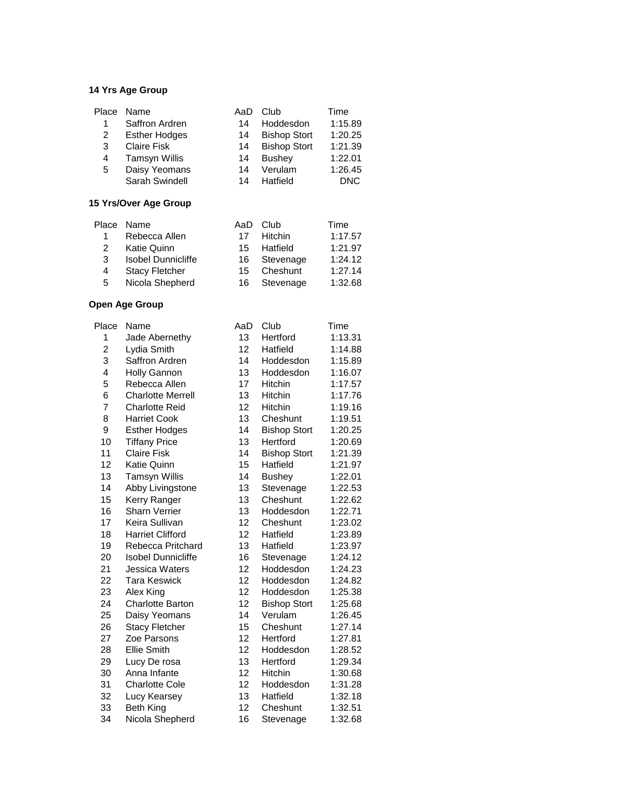|   | Place Name           | AaD | Club                | Time       |
|---|----------------------|-----|---------------------|------------|
|   | Saffron Ardren       | 14  | Hoddesdon           | 1:15.89    |
| 2 | <b>Esther Hodges</b> | 14  | <b>Bishop Stort</b> | 1:20.25    |
| 3 | <b>Claire Fisk</b>   | 14  | <b>Bishop Stort</b> | 1:21.39    |
| 4 | <b>Tamsyn Willis</b> | 14  | <b>Bushey</b>       | 1:22.01    |
| 5 | Daisy Yeomans        | 14  | Verulam             | 1:26.45    |
|   | Sarah Swindell       | 14  | Hatfield            | <b>DNC</b> |

#### **15 Yrs/Over Age Group**

|   | Place Name                | AaD | Club        | Time    |
|---|---------------------------|-----|-------------|---------|
| 1 | Rebecca Allen             | 17  | Hitchin     | 1:17.57 |
| 2 | <b>Katie Quinn</b>        | 15  | Hatfield    | 1:21.97 |
| 3 | <b>Isobel Dunnicliffe</b> | 16  | Stevenage   | 1:24.12 |
| 4 | <b>Stacy Fletcher</b>     |     | 15 Cheshunt | 1:27.14 |
| 5 | Nicola Shepherd           | 16. | Stevenage   | 1:32.68 |

| Place          | Name                      | AaD | Club                | Time    |
|----------------|---------------------------|-----|---------------------|---------|
| 1              | Jade Abernethy            | 13  | Hertford            | 1:13.31 |
| $\overline{c}$ | Lydia Smith               | 12  | Hatfield            | 1:14.88 |
| 3              | Saffron Ardren            | 14  | Hoddesdon           | 1:15.89 |
| 4              | <b>Holly Gannon</b>       | 13  | Hoddesdon           | 1:16.07 |
| 5              | Rebecca Allen             | 17  | Hitchin             | 1:17.57 |
| 6              | <b>Charlotte Merrell</b>  | 13  | Hitchin             | 1:17.76 |
| 7              | <b>Charlotte Reid</b>     | 12  | <b>Hitchin</b>      | 1:19.16 |
| 8              | <b>Harriet Cook</b>       | 13  | Cheshunt            | 1:19.51 |
| 9              | <b>Esther Hodges</b>      | 14  | <b>Bishop Stort</b> | 1:20.25 |
| 10             | <b>Tiffany Price</b>      | 13  | Hertford            | 1:20.69 |
| 11             | <b>Claire Fisk</b>        | 14  | <b>Bishop Stort</b> | 1:21.39 |
| 12             | Katie Quinn               | 15  | Hatfield            | 1:21.97 |
| 13             | Tamsyn Willis             | 14  | <b>Bushey</b>       | 1:22.01 |
| 14             | Abby Livingstone          | 13  | Stevenage           | 1:22.53 |
| 15             | Kerry Ranger              | 13  | Cheshunt            | 1:22.62 |
| 16             | <b>Sharn Verrier</b>      | 13  | Hoddesdon           | 1:22.71 |
| 17             | Keira Sullivan            | 12  | Cheshunt            | 1:23.02 |
| 18             | <b>Harriet Clifford</b>   | 12  | Hatfield            | 1:23.89 |
| 19             | Rebecca Pritchard         | 13  | Hatfield            | 1:23.97 |
| 20             | <b>Isobel Dunnicliffe</b> | 16  | Stevenage           | 1:24.12 |
| 21             | Jessica Waters            | 12  | Hoddesdon           | 1:24.23 |
| 22             | <b>Tara Keswick</b>       | 12  | Hoddesdon           | 1:24.82 |
| 23             | Alex King                 | 12  | Hoddesdon           | 1:25.38 |
| 24             | <b>Charlotte Barton</b>   | 12  | <b>Bishop Stort</b> | 1:25.68 |
| 25             | Daisy Yeomans             | 14  | Verulam             | 1:26.45 |
| 26             | <b>Stacy Fletcher</b>     | 15  | Cheshunt            | 1:27.14 |
| 27             | Zoe Parsons               | 12  | Hertford            | 1:27.81 |
| 28             | <b>Ellie Smith</b>        | 12  | Hoddesdon           | 1:28.52 |
| 29             | Lucy De rosa              | 13  | Hertford            | 1:29.34 |
| 30             | Anna Infante              | 12  | <b>Hitchin</b>      | 1:30.68 |
| 31             | <b>Charlotte Cole</b>     | 12  | Hoddesdon           | 1:31.28 |
| 32             | Lucy Kearsey              | 13  | Hatfield            | 1:32.18 |
| 33             | <b>Beth King</b>          | 12  | Cheshunt            | 1:32.51 |
| 34             | Nicola Shepherd           | 16  | Stevenage           | 1:32.68 |
|                |                           |     |                     |         |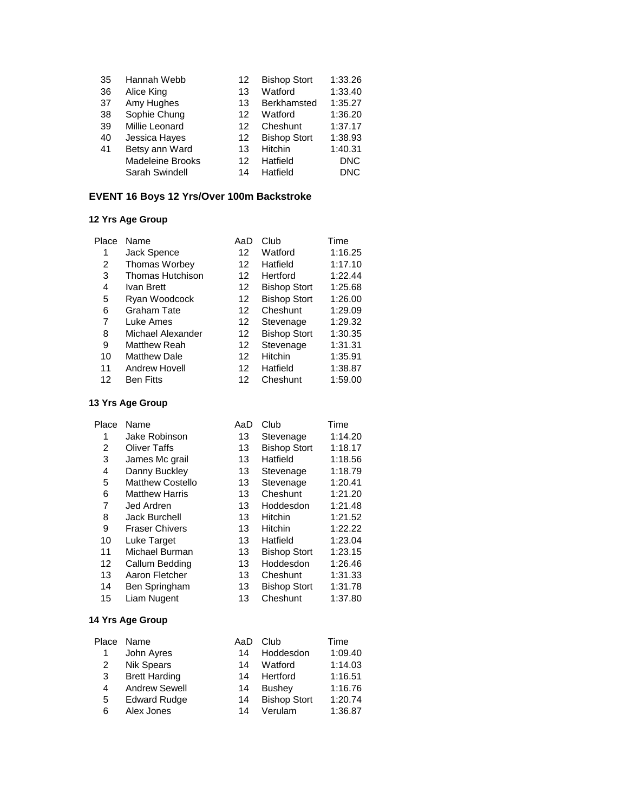| 35 | Hannah Webb             | 12 | <b>Bishop Stort</b> | 1:33.26    |
|----|-------------------------|----|---------------------|------------|
| 36 | Alice King              | 13 | Watford             | 1:33.40    |
| 37 | Amy Hughes              | 13 | <b>Berkhamsted</b>  | 1:35.27    |
| 38 | Sophie Chung            | 12 | Watford             | 1:36.20    |
| 39 | Millie Leonard          | 12 | Cheshunt            | 1:37.17    |
| 40 | Jessica Hayes           | 12 | <b>Bishop Stort</b> | 1:38.93    |
| 41 | Betsy ann Ward          | 13 | Hitchin             | 1:40.31    |
|    | <b>Madeleine Brooks</b> | 12 | Hatfield            | <b>DNC</b> |
|    | Sarah Swindell          | 14 | Hatfield            | <b>DNC</b> |

# **EVENT 16 Boys 12 Yrs/Over 100m Backstroke**

# **12 Yrs Age Group**

| Place | Name                | AaD | Club                | Time    |
|-------|---------------------|-----|---------------------|---------|
| 1     | Jack Spence         | 12  | Watford             | 1:16.25 |
| 2     | Thomas Worbey       | 12  | Hatfield            | 1:17.10 |
| 3     | Thomas Hutchison    | 12  | Hertford            | 1:22.44 |
| 4     | Ivan Brett          | 12  | <b>Bishop Stort</b> | 1:25.68 |
| 5     | Ryan Woodcock       | 12  | <b>Bishop Stort</b> | 1:26.00 |
| 6     | Graham Tate         | 12  | Cheshunt            | 1:29.09 |
| 7     | Luke Ames           | 12  | Stevenage           | 1:29.32 |
| 8     | Michael Alexander   | 12  | <b>Bishop Stort</b> | 1:30.35 |
| 9     | <b>Matthew Reah</b> | 12  | Stevenage           | 1:31.31 |
| 10    | <b>Matthew Dale</b> | 12  | Hitchin             | 1:35.91 |
| 11    | Andrew Hovell       | 12  | Hatfield            | 1:38.87 |
| 12    | <b>Ben Fitts</b>    | 12  | Cheshunt            | 1:59.00 |

# **13 Yrs Age Group**

| Place | Name                    | AaD | Club                | Time    |
|-------|-------------------------|-----|---------------------|---------|
| 1     | Jake Robinson           | 13  | Stevenage           | 1:14.20 |
| 2     | <b>Oliver Taffs</b>     | 13  | <b>Bishop Stort</b> | 1:18.17 |
| 3     | James Mc grail          | 13  | Hatfield            | 1:18.56 |
| 4     | Danny Buckley           | 13  | Stevenage           | 1:18.79 |
| 5     | <b>Matthew Costello</b> | 13  | Stevenage           | 1:20.41 |
| 6     | <b>Matthew Harris</b>   | 13  | Cheshunt            | 1:21.20 |
| 7     | Jed Ardren              | 13  | Hoddesdon           | 1:21.48 |
| 8     | <b>Jack Burchell</b>    | 13  | <b>Hitchin</b>      | 1:21.52 |
| 9     | <b>Fraser Chivers</b>   | 13  | <b>Hitchin</b>      | 1:22.22 |
| 10    | Luke Target             | 13  | Hatfield            | 1:23.04 |
| 11    | Michael Burman          | 13  | <b>Bishop Stort</b> | 1:23.15 |
| 12    | Callum Bedding          | 13  | Hoddesdon           | 1:26.46 |
| 13    | Aaron Fletcher          | 13  | Cheshunt            | 1:31.33 |
| 14    | Ben Springham           | 13  | <b>Bishop Stort</b> | 1:31.78 |
| 15    | Liam Nugent             | 13  | Cheshunt            | 1:37.80 |

| Place | Name                 | AaD | Club                | Time    |
|-------|----------------------|-----|---------------------|---------|
|       | John Ayres           | 14  | Hoddesdon           | 1:09.40 |
| 2     | <b>Nik Spears</b>    | 14  | Watford             | 1:14.03 |
| 3     | <b>Brett Harding</b> | 14  | Hertford            | 1:16.51 |
| 4     | <b>Andrew Sewell</b> | 14  | <b>Bushey</b>       | 1:16.76 |
| 5     | <b>Edward Rudge</b>  | 14  | <b>Bishop Stort</b> | 1:20.74 |
| 6     | Alex Jones           | 14  | Verulam             | 1:36.87 |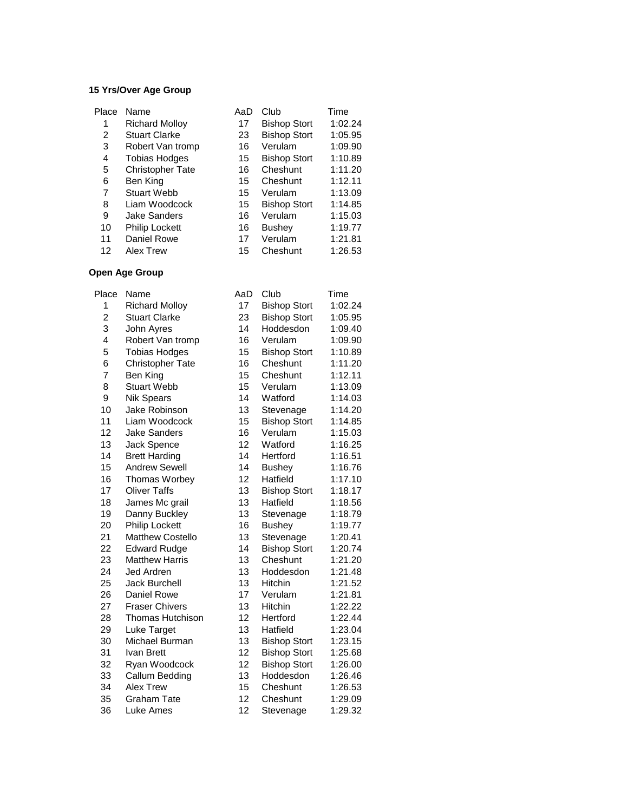#### **15 Yrs/Over Age Group**

| Place | Name                    | AaD | Club                | Time    |
|-------|-------------------------|-----|---------------------|---------|
| 1     | <b>Richard Molloy</b>   | 17  | <b>Bishop Stort</b> | 1:02.24 |
| 2     | <b>Stuart Clarke</b>    | 23  | <b>Bishop Stort</b> | 1:05.95 |
| 3     | Robert Van tromp        | 16  | Verulam             | 1:09.90 |
| 4     | <b>Tobias Hodges</b>    | 15  | <b>Bishop Stort</b> | 1:10.89 |
| 5     | <b>Christopher Tate</b> | 16  | Cheshunt            | 1:11.20 |
| 6     | Ben King                | 15  | Cheshunt            | 1:12.11 |
| 7     | <b>Stuart Webb</b>      | 15  | Verulam             | 1:13.09 |
| 8     | Liam Woodcock           | 15  | <b>Bishop Stort</b> | 1:14.85 |
| 9     | <b>Jake Sanders</b>     | 16  | Verulam             | 1:15.03 |
| 10    | <b>Philip Lockett</b>   | 16  | <b>Bushey</b>       | 1:19.77 |
| 11    | Daniel Rowe             | 17  | Verulam             | 1:21.81 |
| 12    | Alex Trew               | 15  | Cheshunt            | 1:26.53 |

| Place          | Name                    | AaD | Club                | Time    |
|----------------|-------------------------|-----|---------------------|---------|
| 1              | <b>Richard Molloy</b>   | 17  | <b>Bishop Stort</b> | 1:02.24 |
| $\overline{c}$ | <b>Stuart Clarke</b>    | 23  | <b>Bishop Stort</b> | 1:05.95 |
| 3              | John Ayres              | 14  | Hoddesdon           | 1:09.40 |
| 4              | Robert Van tromp        | 16  | Verulam             | 1:09.90 |
| 5              | <b>Tobias Hodges</b>    | 15  | <b>Bishop Stort</b> | 1:10.89 |
| 6              | <b>Christopher Tate</b> | 16  | Cheshunt            | 1:11.20 |
| 7              | Ben King                | 15  | Cheshunt            | 1:12.11 |
| 8              | <b>Stuart Webb</b>      | 15  | Verulam             | 1:13.09 |
| 9              | <b>Nik Spears</b>       | 14  | Watford             | 1:14.03 |
| 10             | Jake Robinson           | 13  | Stevenage           | 1:14.20 |
| 11             | Liam Woodcock           | 15  | <b>Bishop Stort</b> | 1:14.85 |
| 12             | <b>Jake Sanders</b>     | 16  | Verulam             | 1:15.03 |
| 13             | Jack Spence             | 12  | Watford             | 1:16.25 |
| 14             | <b>Brett Harding</b>    | 14  | Hertford            | 1:16.51 |
| 15             | <b>Andrew Sewell</b>    | 14  | <b>Bushey</b>       | 1:16.76 |
| 16             | Thomas Worbey           | 12  | Hatfield            | 1:17.10 |
| 17             | <b>Oliver Taffs</b>     | 13  | <b>Bishop Stort</b> | 1:18.17 |
| 18             | James Mc grail          | 13  | Hatfield            | 1:18.56 |
| 19             | Danny Buckley           | 13  | Stevenage           | 1:18.79 |
| 20             | <b>Philip Lockett</b>   | 16  | <b>Bushey</b>       | 1:19.77 |
| 21             | <b>Matthew Costello</b> | 13  | Stevenage           | 1:20.41 |
| 22             | <b>Edward Rudge</b>     | 14  | <b>Bishop Stort</b> | 1:20.74 |
| 23             | <b>Matthew Harris</b>   | 13  | Cheshunt            | 1:21.20 |
| 24             | Jed Ardren              | 13  | Hoddesdon           | 1:21.48 |
| 25             | <b>Jack Burchell</b>    | 13  | Hitchin             | 1:21.52 |
| 26             | Daniel Rowe             | 17  | Verulam             | 1:21.81 |
| 27             | <b>Fraser Chivers</b>   | 13  | Hitchin             | 1:22.22 |
| 28             | <b>Thomas Hutchison</b> | 12  | Hertford            | 1:22.44 |
| 29             | Luke Target             | 13  | Hatfield            | 1:23.04 |
| 30             | Michael Burman          | 13  | <b>Bishop Stort</b> | 1:23.15 |
| 31             | Ivan Brett              | 12  | <b>Bishop Stort</b> | 1:25.68 |
| 32             | Ryan Woodcock           | 12  | <b>Bishop Stort</b> | 1:26.00 |
| 33             | Callum Bedding          | 13  | Hoddesdon           | 1:26.46 |
| 34             | Alex Trew               | 15  | Cheshunt            | 1:26.53 |
| 35             | <b>Graham Tate</b>      | 12  | Cheshunt            | 1:29.09 |
| 36             | Luke Ames               | 12  | Stevenage           | 1:29.32 |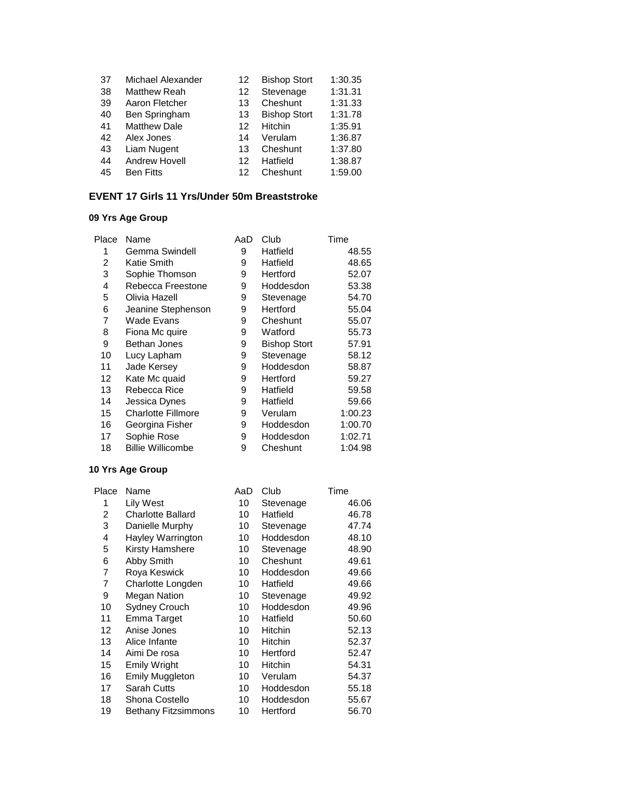| 37 | Michael Alexander    | 12 | <b>Bishop Stort</b> | 1:30.35 |
|----|----------------------|----|---------------------|---------|
| 38 | <b>Matthew Reah</b>  | 12 | Stevenage           | 1:31.31 |
| 39 | Aaron Fletcher       | 13 | Cheshunt            | 1:31.33 |
| 40 | Ben Springham        | 13 | <b>Bishop Stort</b> | 1:31.78 |
| 41 | <b>Matthew Dale</b>  | 12 | Hitchin             | 1:35.91 |
| 42 | Alex Jones           | 14 | Verulam             | 1:36.87 |
| 43 | Liam Nugent          | 13 | Cheshunt            | 1:37.80 |
| 44 | <b>Andrew Hovell</b> | 12 | Hatfield            | 1:38.87 |
| 45 | <b>Ben Fitts</b>     | 12 | Cheshunt            | 1:59.00 |

#### **EVENT 17 Girls 11 Yrs/Under 50m Breaststroke**

#### **09 Yrs Age Group**

| Place | Name                     | AaD | Club                | Time    |
|-------|--------------------------|-----|---------------------|---------|
| 1     | Gemma Swindell           | 9   | Hatfield            | 48.55   |
| 2     | Katie Smith              | 9   | Hatfield            | 48.65   |
| 3     | Sophie Thomson           | 9   | Hertford            | 52.07   |
| 4     | Rebecca Freestone        | 9   | Hoddesdon           | 53.38   |
| 5     | Olivia Hazell            | 9   | Stevenage           | 54.70   |
| 6     | Jeanine Stephenson       | 9   | Hertford            | 55.04   |
| 7     | Wade Evans               | 9   | Cheshunt            | 55.07   |
| 8     | Fiona Mc quire           | 9   | Watford             | 55.73   |
| 9     | Bethan Jones             | 9   | <b>Bishop Stort</b> | 57.91   |
| 10    | Lucy Lapham              | 9   | Stevenage           | 58.12   |
| 11    | Jade Kersey              | 9   | Hoddesdon           | 58.87   |
| 12    | Kate Mc quaid            | 9   | Hertford            | 59.27   |
| 13    | Rebecca Rice             | 9   | Hatfield            | 59.58   |
| 14    | Jessica Dynes            | 9   | Hatfield            | 59.66   |
| 15    | Charlotte Fillmore       | 9   | Verulam             | 1:00.23 |
| 16    | Georgina Fisher          | 9   | Hoddesdon           | 1:00.70 |
| 17    | Sophie Rose              | 9   | Hoddesdon           | 1:02.71 |
| 18    | <b>Billie Willicombe</b> | 9   | Cheshunt            | 1:04.98 |
|       |                          |     |                     |         |

| Place | Name                       | AaD | Club           | Time  |
|-------|----------------------------|-----|----------------|-------|
| 1     | Lily West                  | 10  | Stevenage      | 46.06 |
| 2     | <b>Charlotte Ballard</b>   | 10  | Hatfield       | 46.78 |
| 3     | Danielle Murphy            | 10  | Stevenage      | 47.74 |
| 4     | Hayley Warrington          | 10  | Hoddesdon      | 48.10 |
| 5     | Kirsty Hamshere            | 10  | Stevenage      | 48.90 |
| 6     | Abby Smith                 | 10  | Cheshunt       | 49.61 |
| 7     | Roya Keswick               | 10  | Hoddesdon      | 49.66 |
| 7     | Charlotte Longden          | 10  | Hatfield       | 49.66 |
| 9     | <b>Megan Nation</b>        | 10  | Stevenage      | 49.92 |
| 10    | <b>Sydney Crouch</b>       | 10  | Hoddesdon      | 49.96 |
| 11    | Emma Target                | 10  | Hatfield       | 50.60 |
| 12    | Anise Jones                | 10  | <b>Hitchin</b> | 52.13 |
| 13    | Alice Infante              | 10  | <b>Hitchin</b> | 52.37 |
| 14    | Aimi De rosa               | 10  | Hertford       | 52.47 |
| 15    | Emily Wright               | 10  | Hitchin        | 54.31 |
| 16    | <b>Emily Muggleton</b>     | 10  | Verulam        | 54.37 |
| 17    | Sarah Cutts                | 10  | Hoddesdon      | 55.18 |
| 18    | Shona Costello             | 10  | Hoddesdon      | 55.67 |
| 19    | <b>Bethany Fitzsimmons</b> | 10  | Hertford       | 56.70 |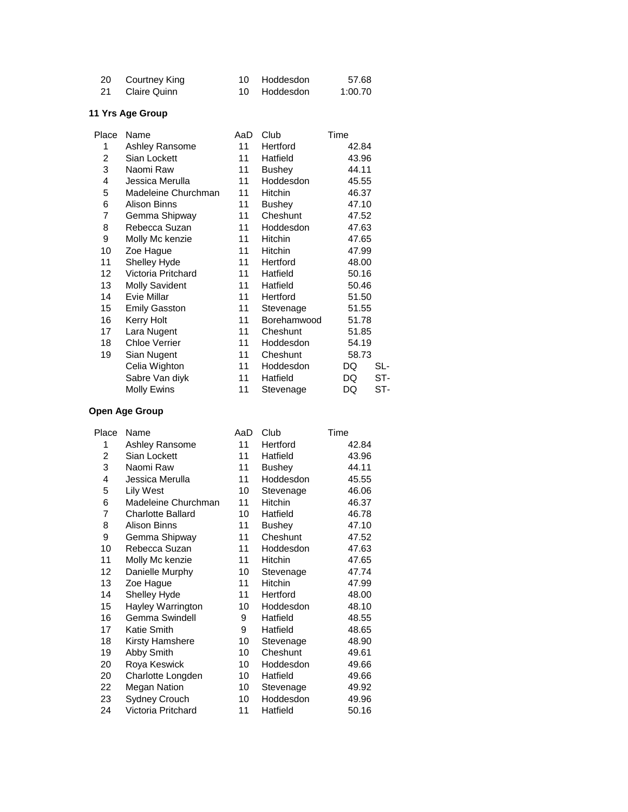| 20 Courtney King | 10 Hoddesdon | 57.68   |
|------------------|--------------|---------|
| 21 Claire Quinn  | 10 Hoddesdon | 1:00.70 |

| Place | Name                  | AaD | Club           | Time      |
|-------|-----------------------|-----|----------------|-----------|
| 1     | Ashley Ransome        | 11  | Hertford       | 42.84     |
| 2     | Sian Lockett          | 11  | Hatfield       | 43.96     |
| 3     | Naomi Raw             | 11  | <b>Bushey</b>  | 44.11     |
| 4     | Jessica Merulla       | 11  | Hoddesdon      | 45.55     |
| 5     | Madeleine Churchman   | 11  | Hitchin        | 46.37     |
| 6     | Alison Binns          | 11  | <b>Bushey</b>  | 47.10     |
| 7     | Gemma Shipway         | 11  | Cheshunt       | 47.52     |
| 8     | Rebecca Suzan         | 11  | Hoddesdon      | 47.63     |
| 9     | Molly Mc kenzie       | 11  | <b>Hitchin</b> | 47.65     |
| 10    | Zoe Hague             | 11  | Hitchin        | 47.99     |
| 11    | Shelley Hyde          | 11  | Hertford       | 48.00     |
| 12    | Victoria Pritchard    | 11  | Hatfield       | 50.16     |
| 13    | <b>Molly Savident</b> | 11  | Hatfield       | 50.46     |
| 14    | Evie Millar           | 11  | Hertford       | 51.50     |
| 15    | <b>Emily Gasston</b>  | 11  | Stevenage      | 51.55     |
| 16    | Kerry Holt            | 11  | Borehamwood    | 51.78     |
| 17    | Lara Nugent           | 11  | Cheshunt       | 51.85     |
| 18    | <b>Chloe Verrier</b>  | 11  | Hoddesdon      | 54.19     |
| 19    | Sian Nugent           | 11  | Cheshunt       | 58.73     |
|       | Celia Wighton         | 11  | Hoddesdon      | DQ<br>SL- |
|       | Sabre Van diyk        | 11  | Hatfield       | DQ<br>ST- |
|       | Molly Ewins           | 11  | Stevenage      | ST-<br>DQ |
|       |                       |     |                |           |

| Place | Name                     | AaD | Club          | Time  |
|-------|--------------------------|-----|---------------|-------|
| 1     | Ashley Ransome           | 11  | Hertford      | 42.84 |
| 2     | Sian Lockett             | 11  | Hatfield      | 43.96 |
| 3     | Naomi Raw                | 11  | <b>Bushey</b> | 44.11 |
| 4     | Jessica Merulla          | 11  | Hoddesdon     | 45.55 |
| 5     | <b>Lily West</b>         | 10  | Stevenage     | 46.06 |
| 6     | Madeleine Churchman      | 11  | Hitchin       | 46.37 |
| 7     | <b>Charlotte Ballard</b> | 10  | Hatfield      | 46.78 |
| 8     | <b>Alison Binns</b>      | 11  | <b>Bushey</b> | 47.10 |
| 9     | Gemma Shipway            | 11  | Cheshunt      | 47.52 |
| 10    | Rebecca Suzan            | 11  | Hoddesdon     | 47.63 |
| 11    | Molly Mc kenzie          | 11  | Hitchin       | 47.65 |
| 12    | Danielle Murphy          | 10  | Stevenage     | 47.74 |
| 13    | Zoe Hague                | 11  | Hitchin       | 47.99 |
| 14    | Shelley Hyde             | 11  | Hertford      | 48.00 |
| 15    | Hayley Warrington        | 10  | Hoddesdon     | 48.10 |
| 16    | Gemma Swindell           | 9   | Hatfield      | 48.55 |
| 17    | Katie Smith              | 9   | Hatfield      | 48.65 |
| 18    | Kirsty Hamshere          | 10  | Stevenage     | 48.90 |
| 19    | Abby Smith               | 10  | Cheshunt      | 49.61 |
| 20    | Roya Keswick             | 10  | Hoddesdon     | 49.66 |
| 20    | Charlotte Longden        | 10  | Hatfield      | 49.66 |
| 22    | Megan Nation             | 10  | Stevenage     | 49.92 |
| 23    | <b>Sydney Crouch</b>     | 10  | Hoddesdon     | 49.96 |
| 24    | Victoria Pritchard       | 11  | Hatfield      | 50.16 |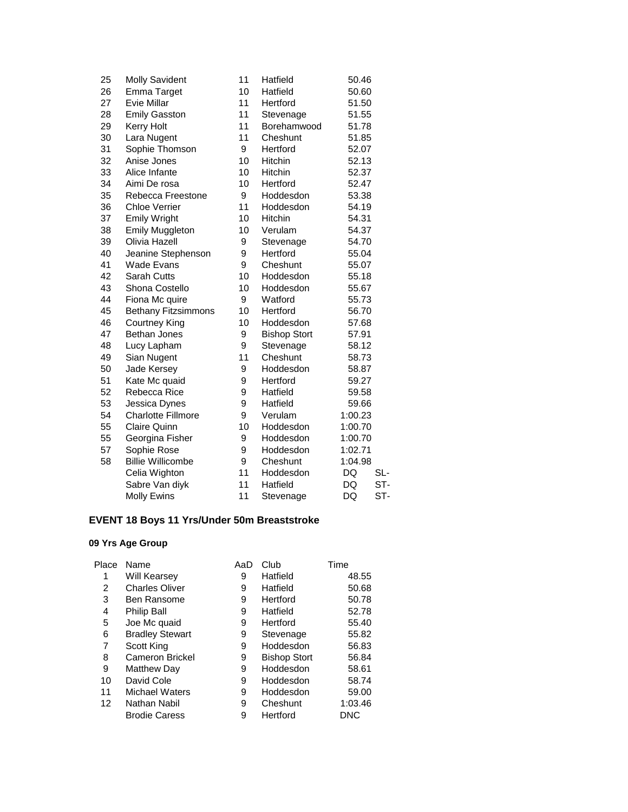| 25 | <b>Molly Savident</b>      | 11 | Hatfield            | 50.46   |     |
|----|----------------------------|----|---------------------|---------|-----|
| 26 | Emma Target                | 10 | Hatfield            | 50.60   |     |
| 27 | Evie Millar                | 11 | Hertford            | 51.50   |     |
| 28 | <b>Emily Gasston</b>       | 11 | Stevenage           | 51.55   |     |
| 29 | <b>Kerry Holt</b>          | 11 | Borehamwood         | 51.78   |     |
| 30 | Lara Nugent                | 11 | Cheshunt            | 51.85   |     |
| 31 | Sophie Thomson             | 9  | Hertford            | 52.07   |     |
| 32 | Anise Jones                | 10 | Hitchin             | 52.13   |     |
| 33 | Alice Infante              | 10 | Hitchin             | 52.37   |     |
| 34 | Aimi De rosa               | 10 | Hertford            | 52.47   |     |
| 35 | Rebecca Freestone          | 9  | Hoddesdon           | 53.38   |     |
| 36 | <b>Chloe Verrier</b>       | 11 | Hoddesdon           | 54.19   |     |
| 37 | <b>Emily Wright</b>        | 10 | Hitchin             | 54.31   |     |
| 38 | <b>Emily Muggleton</b>     | 10 | Verulam             | 54.37   |     |
| 39 | Olivia Hazell              | 9  | Stevenage           | 54.70   |     |
| 40 | Jeanine Stephenson         | 9  | Hertford            | 55.04   |     |
| 41 | <b>Wade Evans</b>          | 9  | Cheshunt            | 55.07   |     |
| 42 | Sarah Cutts                | 10 | Hoddesdon           | 55.18   |     |
| 43 | Shona Costello             | 10 | Hoddesdon           | 55.67   |     |
| 44 | Fiona Mc quire             | 9  | Watford             | 55.73   |     |
| 45 | <b>Bethany Fitzsimmons</b> | 10 | Hertford            | 56.70   |     |
| 46 | Courtney King              | 10 | Hoddesdon           | 57.68   |     |
| 47 | Bethan Jones               | 9  | <b>Bishop Stort</b> | 57.91   |     |
| 48 | Lucy Lapham                | 9  | Stevenage           | 58.12   |     |
| 49 | Sian Nugent                | 11 | Cheshunt            | 58.73   |     |
| 50 | Jade Kersey                | 9  | Hoddesdon           | 58.87   |     |
| 51 | Kate Mc quaid              | 9  | Hertford            | 59.27   |     |
| 52 | Rebecca Rice               | 9  | Hatfield            | 59.58   |     |
| 53 | Jessica Dynes              | 9  | Hatfield            | 59.66   |     |
| 54 | <b>Charlotte Fillmore</b>  | 9  | Verulam             | 1:00.23 |     |
| 55 | <b>Claire Quinn</b>        | 10 | Hoddesdon           | 1:00.70 |     |
| 55 | Georgina Fisher            | 9  | Hoddesdon           | 1:00.70 |     |
| 57 | Sophie Rose                | 9  | Hoddesdon           | 1:02.71 |     |
| 58 | <b>Billie Willicombe</b>   | 9  | Cheshunt            | 1:04.98 |     |
|    | Celia Wighton              | 11 | Hoddesdon           | DQ      | SL- |
|    | Sabre Van diyk             | 11 | Hatfield            | DQ      | ST- |
|    | <b>Molly Ewins</b>         | 11 | Stevenage           | DQ      | ST- |

# **EVENT 18 Boys 11 Yrs/Under 50m Breaststroke**

| Place | Name                   | AaD | Club                | Time    |
|-------|------------------------|-----|---------------------|---------|
|       | Will Kearsey           | 9   | Hatfield            | 48.55   |
| 2     | <b>Charles Oliver</b>  | 9   | Hatfield            | 50.68   |
| 3     | <b>Ben Ransome</b>     | 9   | Hertford            | 50.78   |
| 4     | Philip Ball            | 9   | Hatfield            | 52.78   |
| 5     | Joe Mc quaid           | 9   | Hertford            | 55.40   |
| 6     | <b>Bradley Stewart</b> | 9   | Stevenage           | 55.82   |
| 7     | Scott King             | 9   | Hoddesdon           | 56.83   |
| 8     | <b>Cameron Brickel</b> | 9   | <b>Bishop Stort</b> | 56.84   |
| 9     | Matthew Day            | 9   | Hoddesdon           | 58.61   |
| 10    | David Cole             | 9   | Hoddesdon           | 58.74   |
| 11    | <b>Michael Waters</b>  | 9   | Hoddesdon           | 59.00   |
| 12    | Nathan Nabil           | 9   | Cheshunt            | 1:03.46 |
|       | <b>Brodie Caress</b>   | 9   | Hertford            | DNC     |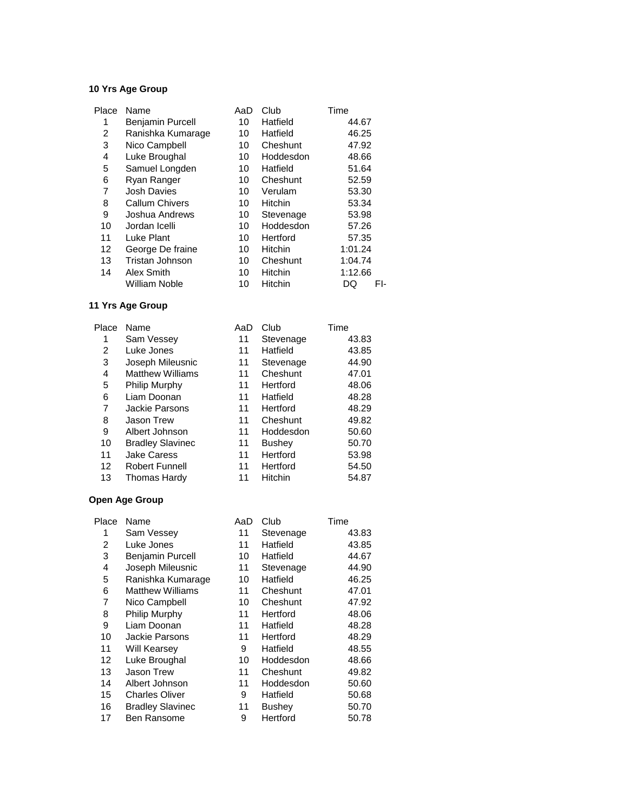| Place | Name                    | AaD | Club           | Time      |
|-------|-------------------------|-----|----------------|-----------|
| 1     | <b>Benjamin Purcell</b> | 10  | Hatfield       | 44.67     |
| 2     | Ranishka Kumarage       | 10  | Hatfield       | 46.25     |
| 3     | Nico Campbell           | 10  | Cheshunt       | 47.92     |
| 4     | Luke Broughal           | 10  | Hoddesdon      | 48.66     |
| 5     | Samuel Longden          | 10  | Hatfield       | 51.64     |
| 6     | Ryan Ranger             | 10  | Cheshunt       | 52.59     |
| 7     | <b>Josh Davies</b>      | 10  | Verulam        | 53.30     |
| 8     | <b>Callum Chivers</b>   | 10  | <b>Hitchin</b> | 53.34     |
| 9     | Joshua Andrews          | 10  | Stevenage      | 53.98     |
| 10    | Jordan Icelli           | 10  | Hoddesdon      | 57.26     |
| 11    | Luke Plant              | 10  | Hertford       | 57.35     |
| 12    | George De fraine        | 10  | <b>Hitchin</b> | 1:01.24   |
| 13    | Tristan Johnson         | 10  | Cheshunt       | 1:04.74   |
| 14    | Alex Smith              | 10  | <b>Hitchin</b> | 1:12.66   |
|       | <b>William Noble</b>    | 10  | <b>Hitchin</b> | FI-<br>DQ |

# **11 Yrs Age Group**

| Place | Name                    | AaD | Club          | Time  |
|-------|-------------------------|-----|---------------|-------|
|       | Sam Vessey              | 11  | Stevenage     | 43.83 |
| 2     | Luke Jones              | 11  | Hatfield      | 43.85 |
| 3     | Joseph Mileusnic        | 11  | Stevenage     | 44.90 |
| 4     | <b>Matthew Williams</b> | 11  | Cheshunt      | 47.01 |
| 5     | <b>Philip Murphy</b>    | 11  | Hertford      | 48.06 |
| 6     | Liam Doonan             | 11  | Hatfield      | 48.28 |
| 7     | <b>Jackie Parsons</b>   | 11  | Hertford      | 48.29 |
| 8     | <b>Jason Trew</b>       | 11  | Cheshunt      | 49.82 |
| 9     | Albert Johnson          | 11  | Hoddesdon     | 50.60 |
| 10    | <b>Bradley Slavinec</b> | 11  | <b>Bushey</b> | 50.70 |
| 11    | <b>Jake Caress</b>      | 11  | Hertford      | 53.98 |
| 12    | <b>Robert Funnell</b>   | 11  | Hertford      | 54.50 |
| 13    | Thomas Hardy            | 11  | Hitchin       | 54.87 |

| Place | Name                    | AaD | Club          | Time  |
|-------|-------------------------|-----|---------------|-------|
| 1     | Sam Vessey              | 11  | Stevenage     | 43.83 |
| 2     | Luke Jones              | 11  | Hatfield      | 43.85 |
| 3     | <b>Benjamin Purcell</b> | 10  | Hatfield      | 44.67 |
| 4     | Joseph Mileusnic        | 11  | Stevenage     | 44.90 |
| 5     | Ranishka Kumarage       | 10  | Hatfield      | 46.25 |
| 6     | <b>Matthew Williams</b> | 11  | Cheshunt      | 47.01 |
| 7     | Nico Campbell           | 10  | Cheshunt      | 47.92 |
| 8     | Philip Murphy           | 11  | Hertford      | 48.06 |
| 9     | Liam Doonan             | 11  | Hatfield      | 48.28 |
| 10    | Jackie Parsons          | 11  | Hertford      | 48.29 |
| 11    | Will Kearsey            | 9   | Hatfield      | 48.55 |
| 12    | Luke Broughal           | 10  | Hoddesdon     | 48.66 |
| 13    | Jason Trew              | 11  | Cheshunt      | 49.82 |
| 14    | Albert Johnson          | 11  | Hoddesdon     | 50.60 |
| 15    | <b>Charles Oliver</b>   | 9   | Hatfield      | 50.68 |
| 16    | <b>Bradley Slavinec</b> | 11  | <b>Bushey</b> | 50.70 |
| 17    | <b>Ben Ransome</b>      | 9   | Hertford      | 50.78 |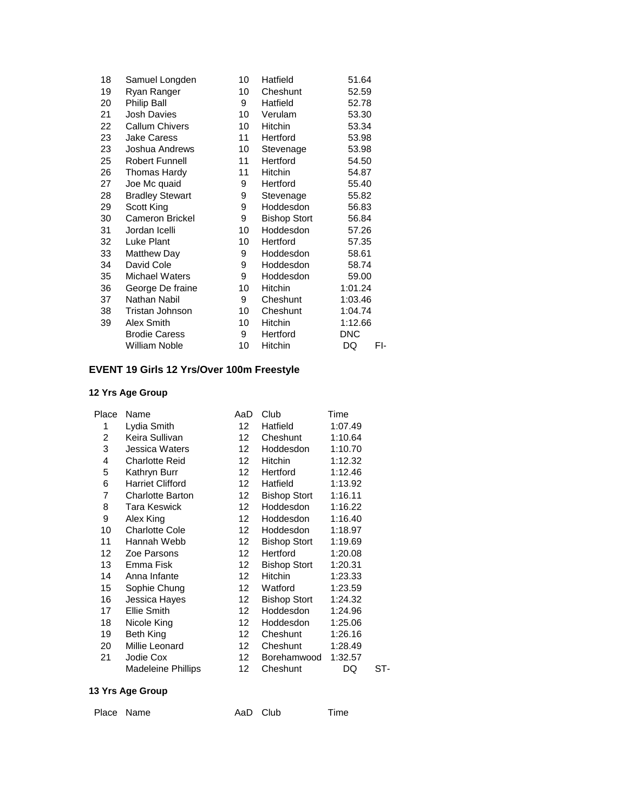| Samuel Longden         | 10 | Hatfield            | 51.64      |
|------------------------|----|---------------------|------------|
| Ryan Ranger            | 10 | Cheshunt            | 52.59      |
| Philip Ball            | 9  | Hatfield            | 52.78      |
| <b>Josh Davies</b>     | 10 | Verulam             | 53.30      |
| <b>Callum Chivers</b>  | 10 | Hitchin             | 53.34      |
| <b>Jake Caress</b>     | 11 | Hertford            | 53.98      |
| Joshua Andrews         | 10 | Stevenage           | 53.98      |
| <b>Robert Funnell</b>  | 11 | Hertford            | 54.50      |
| Thomas Hardy           | 11 | Hitchin             | 54.87      |
| Joe Mc quaid           | 9  | Hertford            | 55.40      |
| <b>Bradley Stewart</b> | 9  | Stevenage           | 55.82      |
| Scott King             | 9  | Hoddesdon           | 56.83      |
| <b>Cameron Brickel</b> | 9  | <b>Bishop Stort</b> | 56.84      |
| Jordan Icelli          | 10 | Hoddesdon           | 57.26      |
| Luke Plant             | 10 | Hertford            | 57.35      |
| <b>Matthew Day</b>     | 9  | Hoddesdon           | 58.61      |
| David Cole             | 9  | Hoddesdon           | 58.74      |
| <b>Michael Waters</b>  | 9  | Hoddesdon           | 59.00      |
| George De fraine       | 10 | Hitchin             | 1:01.24    |
| Nathan Nabil           | 9  | Cheshunt            | 1:03.46    |
| Tristan Johnson        | 10 | Cheshunt            | 1:04.74    |
| Alex Smith             | 10 | Hitchin             | 1:12.66    |
| <b>Brodie Caress</b>   | 9  | Hertford            | <b>DNC</b> |
| William Noble          | 10 | Hitchin             | DQ<br>FI-  |
|                        |    |                     |            |

# **EVENT 19 Girls 12 Yrs/Over 100m Freestyle**

### **12 Yrs Age Group**

| Place | Name                      | AaD              | Club                | Time    |     |
|-------|---------------------------|------------------|---------------------|---------|-----|
| 1     | Lydia Smith               | 12               | Hatfield            | 1:07.49 |     |
| 2     | Keira Sullivan            | 12               | Cheshunt            | 1:10.64 |     |
| 3     | Jessica Waters            | 12 <sup>12</sup> | Hoddesdon           | 1:10.70 |     |
| 4     | <b>Charlotte Reid</b>     | 12 <sup>12</sup> | Hitchin             | 1:12.32 |     |
| 5     | Kathryn Burr              | 12               | Hertford            | 1:12.46 |     |
| 6     | <b>Harriet Clifford</b>   | 12 <sup>12</sup> | Hatfield            | 1:13.92 |     |
| 7     | <b>Charlotte Barton</b>   | 12               | <b>Bishop Stort</b> | 1:16.11 |     |
| 8     | <b>Tara Keswick</b>       | 12 <sup>12</sup> | Hoddesdon           | 1:16.22 |     |
| 9     | Alex King                 | 12               | Hoddesdon           | 1:16.40 |     |
| 10    | <b>Charlotte Cole</b>     | 12 <sup>12</sup> | Hoddesdon           | 1:18.97 |     |
| 11    | Hannah Webb               | 12 <sup>12</sup> | <b>Bishop Stort</b> | 1:19.69 |     |
| 12    | Zoe Parsons               | 12               | Hertford            | 1:20.08 |     |
| 13    | Emma Fisk                 | 12               | <b>Bishop Stort</b> | 1:20.31 |     |
| 14    | Anna Infante              | 12               | Hitchin             | 1:23.33 |     |
| 15    | Sophie Chung              | 12 <sup>12</sup> | Watford             | 1:23.59 |     |
| 16    | Jessica Hayes             | 12 <sup>12</sup> | <b>Bishop Stort</b> | 1:24.32 |     |
| 17    | Ellie Smith               | 12               | Hoddesdon           | 1:24.96 |     |
| 18    | Nicole King               | 12 <sup>12</sup> | Hoddesdon           | 1:25.06 |     |
| 19    | Beth King                 | 12               | Cheshunt            | 1:26.16 |     |
| 20    | Millie Leonard            | 12 <sup>12</sup> | Cheshunt            | 1:28.49 |     |
| 21    | Jodie Cox                 | 12 <sup>12</sup> | Borehamwood         | 1:32.57 |     |
|       | <b>Madeleine Phillips</b> | 12               | Cheshunt            | DQ      | ST- |
|       |                           |                  |                     |         |     |

### **13 Yrs Age Group**

Place Name **AaD** Club Time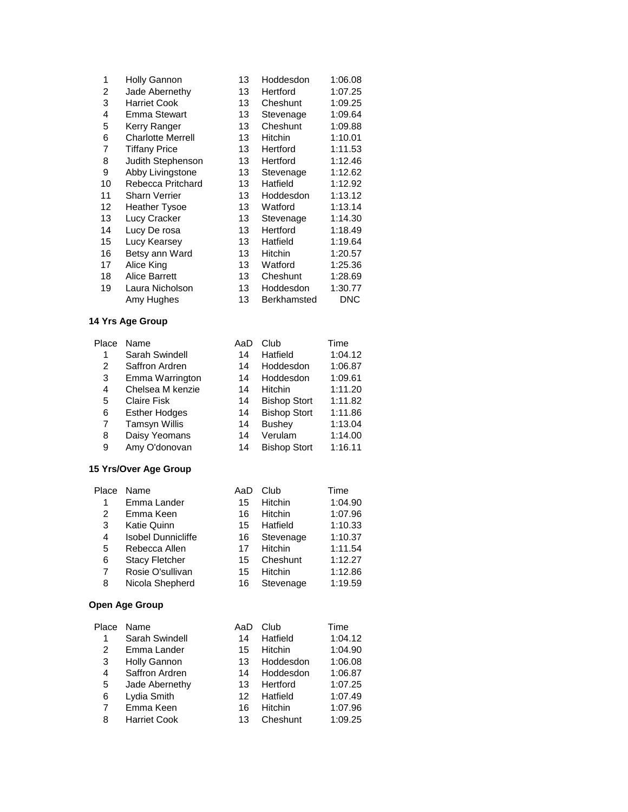| 1  | <b>Holly Gannon</b>      | 13 | Hoddesdon          | 1:06.08    |
|----|--------------------------|----|--------------------|------------|
| 2  | Jade Abernethy           | 13 | Hertford           | 1:07.25    |
| 3  | <b>Harriet Cook</b>      | 13 | Cheshunt           | 1:09.25    |
| 4  | Emma Stewart             | 13 | Stevenage          | 1:09.64    |
| 5  | Kerry Ranger             | 13 | Cheshunt           | 1:09.88    |
| 6  | <b>Charlotte Merrell</b> | 13 | <b>Hitchin</b>     | 1:10.01    |
| 7  | <b>Tiffany Price</b>     | 13 | Hertford           | 1:11.53    |
| 8  | Judith Stephenson        | 13 | Hertford           | 1:12.46    |
| 9  | Abby Livingstone         | 13 | Stevenage          | 1:12.62    |
| 10 | Rebecca Pritchard        | 13 | Hatfield           | 1:12.92    |
| 11 | Sharn Verrier            | 13 | Hoddesdon          | 1:13.12    |
| 12 | <b>Heather Tysoe</b>     | 13 | Watford            | 1:13.14    |
| 13 | Lucy Cracker             | 13 | Stevenage          | 1:14.30    |
| 14 | Lucy De rosa             | 13 | Hertford           | 1:18.49    |
| 15 | Lucy Kearsey             | 13 | Hatfield           | 1:19.64    |
| 16 | Betsy ann Ward           | 13 | <b>Hitchin</b>     | 1:20.57    |
| 17 | Alice King               | 13 | Watford            | 1:25.36    |
| 18 | <b>Alice Barrett</b>     | 13 | Cheshunt           | 1:28.69    |
| 19 | Laura Nicholson          | 13 | Hoddesdon          | 1:30.77    |
|    | Amy Hughes               | 13 | <b>Berkhamsted</b> | <b>DNC</b> |
|    |                          |    |                    |            |

Place

| lace           | Name                 | AaD | Club                | Time    |
|----------------|----------------------|-----|---------------------|---------|
| 1              | Sarah Swindell       | 14  | Hatfield            | 1:04.12 |
| 2              | Saffron Ardren       | 14  | Hoddesdon           | 1:06.87 |
| 3              | Emma Warrington      | 14  | Hoddesdon           | 1:09.61 |
| $\overline{4}$ | Chelsea M kenzie     | 14  | <b>Hitchin</b>      | 1:11.20 |
| 5              | <b>Claire Fisk</b>   | 14  | <b>Bishop Stort</b> | 1:11.82 |
| 6              | <b>Esther Hodges</b> | 14  | <b>Bishop Stort</b> | 1:11.86 |
| 7              | <b>Tamsyn Willis</b> | 14  | <b>Bushey</b>       | 1:13.04 |
| 8              | Daisy Yeomans        | 14  | Verulam             | 1:14.00 |
| 9              | Amy O'donovan        | 14  | <b>Bishop Stort</b> | 1:16.11 |
|                |                      |     |                     |         |

#### **15 Yrs/Over Age Group**

| Place | Name                      | AaD | Club      | Time    |
|-------|---------------------------|-----|-----------|---------|
| 1     | Emma Lander               | 15  | Hitchin   | 1:04.90 |
| 2     | Emma Keen                 | 16  | Hitchin   | 1:07.96 |
| 3     | Katie Quinn               | 15  | Hatfield  | 1:10.33 |
| 4     | <b>Isobel Dunnicliffe</b> | 16  | Stevenage | 1:10.37 |
| 5     | Rebecca Allen             | 17  | Hitchin   | 1:11.54 |
| 6     | <b>Stacy Fletcher</b>     | 15  | Cheshunt  | 1:12.27 |
| 7     | Rosie O'sullivan          | 15  | Hitchin   | 1:12.86 |
| 8     | Nicola Shepherd           | 16  | Stevenage | 1:19.59 |

| Place | Name                | AaD | Club           | Time    |
|-------|---------------------|-----|----------------|---------|
| 1     | Sarah Swindell      | 14  | Hatfield       | 1:04.12 |
| 2     | Emma Lander         | 15  | <b>Hitchin</b> | 1:04.90 |
| 3     | Holly Gannon        | 13  | Hoddesdon      | 1:06.08 |
| 4     | Saffron Ardren      | 14  | Hoddesdon      | 1:06.87 |
| 5     | Jade Abernethy      | 13  | Hertford       | 1:07.25 |
| 6     | Lydia Smith         | 12  | Hatfield       | 1:07.49 |
| 7     | Emma Keen           | 16  | <b>Hitchin</b> | 1:07.96 |
| 8     | <b>Harriet Cook</b> | 13  | Cheshunt       | 1:09.25 |
|       |                     |     |                |         |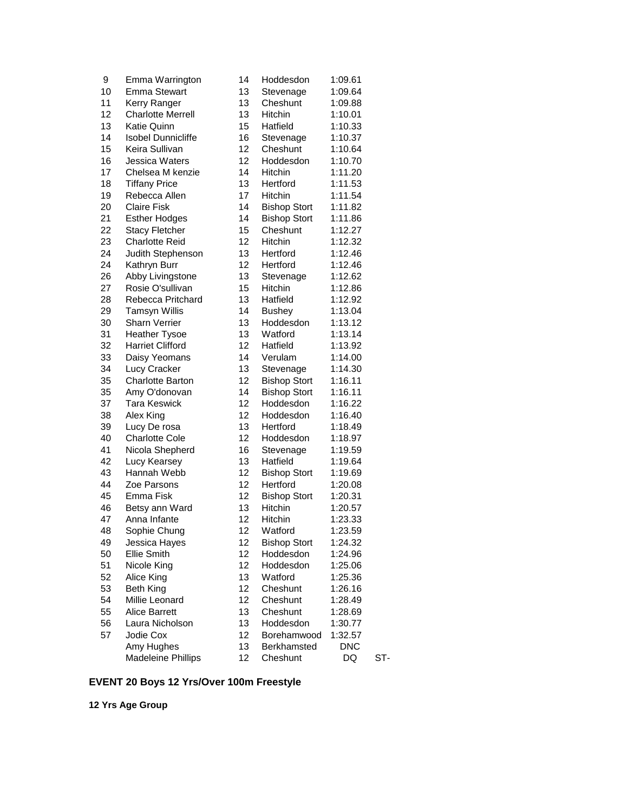| 9        | Emma Warrington                         | 14       | Hoddesdon             | 1:09.61               |     |
|----------|-----------------------------------------|----------|-----------------------|-----------------------|-----|
| 10       | <b>Emma Stewart</b>                     | 13       | Stevenage             | 1:09.64               |     |
| 11       | Kerry Ranger                            | 13       | Cheshunt              | 1:09.88               |     |
| 12       | <b>Charlotte Merrell</b>                | 13       | Hitchin               | 1:10.01               |     |
| 13       | <b>Katie Quinn</b>                      | 15       | Hatfield              | 1:10.33               |     |
| 14       | <b>Isobel Dunnicliffe</b>               | 16       | Stevenage             | 1:10.37               |     |
| 15       | Keira Sullivan                          | 12       | Cheshunt              | 1:10.64               |     |
| 16       | Jessica Waters                          | 12       | Hoddesdon             | 1:10.70               |     |
| 17       | Chelsea M kenzie                        | 14       | Hitchin               | 1:11.20               |     |
| 18       | <b>Tiffany Price</b>                    | 13       | Hertford              | 1:11.53               |     |
| 19       | Rebecca Allen                           | 17       | Hitchin               | 1:11.54               |     |
| 20       | <b>Claire Fisk</b>                      | 14       | <b>Bishop Stort</b>   | 1:11.82               |     |
| 21       | <b>Esther Hodges</b>                    | 14       | <b>Bishop Stort</b>   | 1:11.86               |     |
| 22       | <b>Stacy Fletcher</b>                   | 15       | Cheshunt              | 1:12.27               |     |
| 23       | <b>Charlotte Reid</b>                   | 12       | Hitchin               | 1:12.32               |     |
| 24       | Judith Stephenson                       | 13       | Hertford              | 1:12.46               |     |
| 24       | Kathryn Burr                            | 12       | Hertford              | 1:12.46               |     |
| 26       | Abby Livingstone                        | 13       | Stevenage             | 1:12.62               |     |
| 27       | Rosie O'sullivan                        | 15       | Hitchin               | 1:12.86               |     |
| 28       | Rebecca Pritchard                       | 13       | Hatfield              | 1:12.92               |     |
| 29       | <b>Tamsyn Willis</b>                    | 14       | <b>Bushey</b>         | 1:13.04               |     |
| 30       | <b>Sharn Verrier</b>                    | 13       | Hoddesdon             | 1:13.12               |     |
| 31       | <b>Heather Tysoe</b>                    | 13       | Watford               | 1:13.14               |     |
| 32       | <b>Harriet Clifford</b>                 | 12       | Hatfield              | 1:13.92               |     |
| 33       | Daisy Yeomans                           | 14       | Verulam               | 1:14.00               |     |
| 34       | Lucy Cracker                            | 13       | Stevenage             | 1:14.30               |     |
| 35       | Charlotte Barton                        | 12       | <b>Bishop Stort</b>   | 1:16.11               |     |
| 35       | Amy O'donovan                           | 14       | <b>Bishop Stort</b>   | 1:16.11               |     |
| 37       | <b>Tara Keswick</b>                     | 12       | Hoddesdon             | 1:16.22               |     |
| 38       | Alex King                               | 12       | Hoddesdon             | 1:16.40               |     |
| 39       | Lucy De rosa                            | 13       | Hertford              | 1:18.49               |     |
| 40       | <b>Charlotte Cole</b>                   | 12       | Hoddesdon             | 1:18.97               |     |
| 41       | Nicola Shepherd                         | 16       | Stevenage             | 1:19.59               |     |
| 42       | Lucy Kearsey                            | 13       | Hatfield              | 1:19.64               |     |
| 43       | Hannah Webb                             | 12       | <b>Bishop Stort</b>   | 1:19.69               |     |
| 44       | Zoe Parsons                             | 12       | Hertford              | 1:20.08               |     |
| 45       | Emma Fisk                               | 12       | <b>Bishop Stort</b>   | 1:20.31               |     |
| 46       | Betsy ann Ward                          | 13       | Hitchin               | 1:20.57               |     |
| 47       | Anna Infante                            | 12       | Hitchin               | 1:23.33               |     |
| 48       | Sophie Chung                            | 12       | Watford               | 1:23.59               |     |
| 49       |                                         | 12       | <b>Bishop Stort</b>   | 1:24.32               |     |
| 50       | Jessica Hayes<br><b>Ellie Smith</b>     | 12       | Hoddesdon             | 1:24.96               |     |
| 51       | Nicole King                             | 12       | Hoddesdon             | 1:25.06               |     |
| 52       | Alice King                              | 13       | Watford               | 1:25.36               |     |
| 53       | Beth King                               | 12       | Cheshunt              |                       |     |
| 54       | Millie Leonard                          | 12       | Cheshunt              | 1:26.16               |     |
|          |                                         |          |                       | 1:28.49               |     |
| 55       | <b>Alice Barrett</b><br>Laura Nicholson | 13<br>13 | Cheshunt<br>Hoddesdon | 1:28.69               |     |
| 56<br>57 | Jodie Cox                               | 12       | Borehamwood           | 1:30.77               |     |
|          | Amy Hughes                              | 13       | Berkhamsted           | 1:32.57<br><b>DNC</b> |     |
|          |                                         |          |                       |                       | ST- |
|          | <b>Madeleine Phillips</b>               | 12       | Cheshunt              | DQ                    |     |

# **EVENT 20 Boys 12 Yrs/Over 100m Freestyle**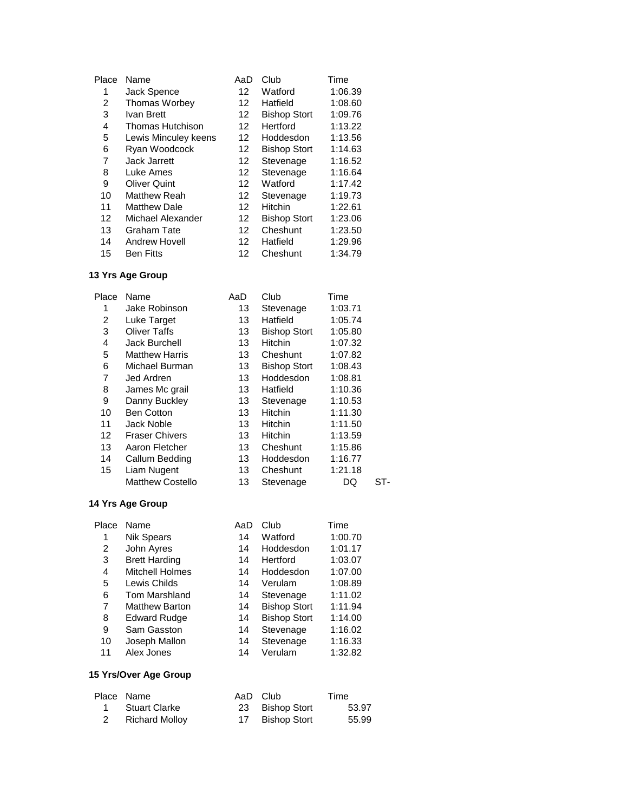| Place | Name                    | AaD | Club                | Time    |
|-------|-------------------------|-----|---------------------|---------|
| 1     | Jack Spence             | 12  | Watford             | 1:06.39 |
| 2     | <b>Thomas Worbey</b>    | 12  | Hatfield            | 1:08.60 |
| 3     | Ivan Brett              | 12  | <b>Bishop Stort</b> | 1:09.76 |
| 4     | <b>Thomas Hutchison</b> | 12  | Hertford            | 1:13.22 |
| 5     | Lewis Minculey keens    | 12  | Hoddesdon           | 1:13.56 |
| 6     | Ryan Woodcock           | 12  | <b>Bishop Stort</b> | 1:14.63 |
| 7     | Jack Jarrett            | 12  | Stevenage           | 1:16.52 |
| 8     | Luke Ames               | 12  | Stevenage           | 1:16.64 |
| 9     | <b>Oliver Quint</b>     | 12  | Watford             | 1:17.42 |
| 10    | <b>Matthew Reah</b>     | 12  | Stevenage           | 1:19.73 |
| 11    | <b>Matthew Dale</b>     | 12  | Hitchin             | 1:22.61 |
| 12    | Michael Alexander       | 12  | <b>Bishop Stort</b> | 1:23.06 |
| 13    | Graham Tate             | 12  | Cheshunt            | 1:23.50 |
| 14    | Andrew Hovell           | 12  | Hatfield            | 1:29.96 |
| 15    | <b>Ben Fitts</b>        | 12  | Cheshunt            | 1:34.79 |

| Place | Name                    | AaD | Club                | Time    |     |
|-------|-------------------------|-----|---------------------|---------|-----|
| 1     | Jake Robinson           | 13  | Stevenage           | 1:03.71 |     |
| 2     | Luke Target             | 13  | Hatfield            | 1:05.74 |     |
| 3     | <b>Oliver Taffs</b>     | 13  | <b>Bishop Stort</b> | 1:05.80 |     |
| 4     | Jack Burchell           | 13  | <b>Hitchin</b>      | 1:07.32 |     |
| 5     | <b>Matthew Harris</b>   | 13  | Cheshunt            | 1:07.82 |     |
| 6     | Michael Burman          | 13  | <b>Bishop Stort</b> | 1:08.43 |     |
| 7     | Jed Ardren              | 13  | Hoddesdon           | 1:08.81 |     |
| 8     | James Mc grail          | 13  | Hatfield            | 1:10.36 |     |
| 9     | Danny Buckley           | 13  | Stevenage           | 1:10.53 |     |
| 10    | <b>Ben Cotton</b>       | 13  | <b>Hitchin</b>      | 1:11.30 |     |
| 11    | Jack Noble              | 13  | <b>Hitchin</b>      | 1:11.50 |     |
| 12    | <b>Fraser Chivers</b>   | 13  | <b>Hitchin</b>      | 1:13.59 |     |
| 13    | Aaron Fletcher          | 13  | Cheshunt            | 1:15.86 |     |
| 14    | Callum Bedding          | 13  | Hoddesdon           | 1:16.77 |     |
| 15    | Liam Nugent             | 13  | Cheshunt            | 1:21.18 |     |
|       | <b>Matthew Costello</b> | 13  | Stevenage           | DQ      | ST- |

# **14 Yrs Age Group**

| Place | Name                   | AaD | Club                | Time    |
|-------|------------------------|-----|---------------------|---------|
| 1     | <b>Nik Spears</b>      | 14  | Watford             | 1:00.70 |
| 2     | John Ayres             | 14  | Hoddesdon           | 1:01.17 |
| 3     | <b>Brett Harding</b>   | 14  | Hertford            | 1:03.07 |
| 4     | <b>Mitchell Holmes</b> | 14  | Hoddesdon           | 1:07.00 |
| 5     | Lewis Childs           | 14  | Verulam             | 1:08.89 |
| 6     | Tom Marshland          | 14  | Stevenage           | 1:11.02 |
| 7     | <b>Matthew Barton</b>  | 14  | <b>Bishop Stort</b> | 1:11.94 |
| 8     | <b>Edward Rudge</b>    | 14  | <b>Bishop Stort</b> | 1:14.00 |
| 9     | Sam Gasston            | 14  | Stevenage           | 1:16.02 |
| 10    | Joseph Mallon          | 14  | Stevenage           | 1:16.33 |
| 11    | Alex Jones             | 14  | Verulam             | 1:32.82 |
|       |                        |     |                     |         |

# **15 Yrs/Over Age Group**

| Place Name       | AaD Club        | Time  |
|------------------|-----------------|-------|
| 1 Stuart Clarke  | 23 Bishop Stort | 53.97 |
| 2 Richard Molloy | 17 Bishop Stort | 55.99 |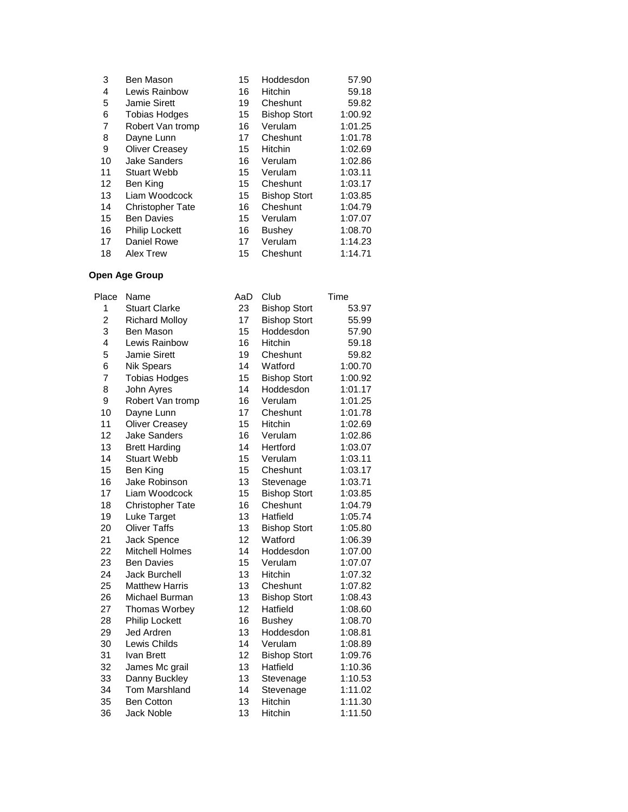| 3  | Ben Mason               | 15 | Hoddesdon           | 57.90   |
|----|-------------------------|----|---------------------|---------|
| 4  | Lewis Rainbow           | 16 | <b>Hitchin</b>      | 59.18   |
| 5  | Jamie Sirett            | 19 | Cheshunt            | 59.82   |
| 6  | <b>Tobias Hodges</b>    | 15 | <b>Bishop Stort</b> | 1:00.92 |
| 7  | Robert Van tromp        | 16 | Verulam             | 1:01.25 |
| 8  | Dayne Lunn              | 17 | Cheshunt            | 1:01.78 |
| 9  | <b>Oliver Creasev</b>   | 15 | <b>Hitchin</b>      | 1:02.69 |
| 10 | <b>Jake Sanders</b>     | 16 | Verulam             | 1:02.86 |
| 11 | <b>Stuart Webb</b>      | 15 | Verulam             | 1:03.11 |
| 12 | Ben King                | 15 | Cheshunt            | 1:03.17 |
| 13 | Liam Woodcock           | 15 | <b>Bishop Stort</b> | 1:03.85 |
| 14 | <b>Christopher Tate</b> | 16 | Cheshunt            | 1:04.79 |
| 15 | <b>Ben Davies</b>       | 15 | Verulam             | 1:07.07 |
| 16 | Philip Lockett          | 16 | Bushey              | 1:08.70 |
| 17 | Daniel Rowe             | 17 | Verulam             | 1:14.23 |
| 18 | Alex Trew               | 15 | Cheshunt            | 1:14.71 |

| Place          | Name                    | AaD | Club                | Time    |
|----------------|-------------------------|-----|---------------------|---------|
| 1              | <b>Stuart Clarke</b>    | 23  | <b>Bishop Stort</b> | 53.97   |
| $\overline{c}$ | <b>Richard Molloy</b>   | 17  | <b>Bishop Stort</b> | 55.99   |
| 3              | Ben Mason               | 15  | Hoddesdon           | 57.90   |
| 4              | Lewis Rainbow           | 16  | Hitchin             | 59.18   |
| 5              | Jamie Sirett            | 19  | Cheshunt            | 59.82   |
| 6              | <b>Nik Spears</b>       | 14  | Watford             | 1:00.70 |
| 7              | <b>Tobias Hodges</b>    | 15  | <b>Bishop Stort</b> | 1:00.92 |
| 8              | John Ayres              | 14  | Hoddesdon           | 1:01.17 |
| 9              | Robert Van tromp        | 16  | Verulam             | 1:01.25 |
| 10             | Dayne Lunn              | 17  | Cheshunt            | 1:01.78 |
| 11             | <b>Oliver Creasey</b>   | 15  | Hitchin             | 1:02.69 |
| 12             | <b>Jake Sanders</b>     | 16  | Verulam             | 1:02.86 |
| 13             | <b>Brett Harding</b>    | 14  | Hertford            | 1:03.07 |
| 14             | <b>Stuart Webb</b>      | 15  | Verulam             | 1:03.11 |
| 15             | Ben King                | 15  | Cheshunt            | 1:03.17 |
| 16             | Jake Robinson           | 13  | Stevenage           | 1:03.71 |
| 17             | Liam Woodcock           | 15  | <b>Bishop Stort</b> | 1:03.85 |
| 18             | <b>Christopher Tate</b> | 16  | Cheshunt            | 1:04.79 |
| 19             | Luke Target             | 13  | Hatfield            | 1:05.74 |
| 20             | <b>Oliver Taffs</b>     | 13  | <b>Bishop Stort</b> | 1:05.80 |
| 21             | Jack Spence             | 12  | Watford             | 1:06.39 |
| 22             | <b>Mitchell Holmes</b>  | 14  | Hoddesdon           | 1:07.00 |
| 23             | <b>Ben Davies</b>       | 15  | Verulam             | 1:07.07 |
| 24             | <b>Jack Burchell</b>    | 13  | Hitchin             | 1:07.32 |
| 25             | <b>Matthew Harris</b>   | 13  | Cheshunt            | 1:07.82 |
| 26             | Michael Burman          | 13  | <b>Bishop Stort</b> | 1:08.43 |
| 27             | Thomas Worbey           | 12  | Hatfield            | 1:08.60 |
| 28             | <b>Philip Lockett</b>   | 16  | <b>Bushey</b>       | 1:08.70 |
| 29             | <b>Jed Ardren</b>       | 13  | Hoddesdon           | 1:08.81 |
| 30             | Lewis Childs            | 14  | Verulam             | 1:08.89 |
| 31             | Ivan Brett              | 12  | <b>Bishop Stort</b> | 1:09.76 |
| 32             | James Mc grail          | 13  | Hatfield            | 1:10.36 |
| 33             | Danny Buckley           | 13  | Stevenage           | 1:10.53 |
| 34             | <b>Tom Marshland</b>    | 14  | Stevenage           | 1:11.02 |
| 35             | <b>Ben Cotton</b>       | 13  | Hitchin             | 1:11.30 |
| 36             | <b>Jack Noble</b>       | 13  | Hitchin             | 1:11.50 |
|                |                         |     |                     |         |